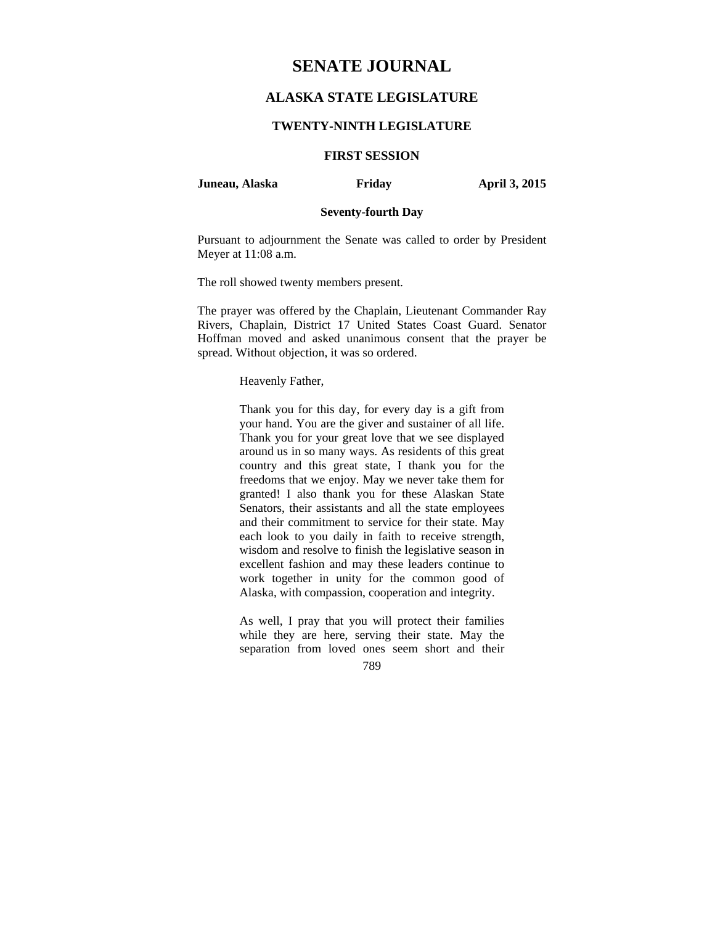# **SENATE JOURNAL**

# **ALASKA STATE LEGISLATURE**

## **TWENTY-NINTH LEGISLATURE**

# **FIRST SESSION**

#### **Juneau, Alaska Friday April 3, 2015**

# **Seventy-fourth Day**

Pursuant to adjournment the Senate was called to order by President Meyer at 11:08 a.m.

The roll showed twenty members present.

The prayer was offered by the Chaplain, Lieutenant Commander Ray Rivers, Chaplain, District 17 United States Coast Guard. Senator Hoffman moved and asked unanimous consent that the prayer be spread. Without objection, it was so ordered.

Heavenly Father,

Thank you for this day, for every day is a gift from your hand. You are the giver and sustainer of all life. Thank you for your great love that we see displayed around us in so many ways. As residents of this great country and this great state, I thank you for the freedoms that we enjoy. May we never take them for granted! I also thank you for these Alaskan State Senators, their assistants and all the state employees and their commitment to service for their state. May each look to you daily in faith to receive strength, wisdom and resolve to finish the legislative season in excellent fashion and may these leaders continue to work together in unity for the common good of Alaska, with compassion, cooperation and integrity.

As well, I pray that you will protect their families while they are here, serving their state. May the separation from loved ones seem short and their

789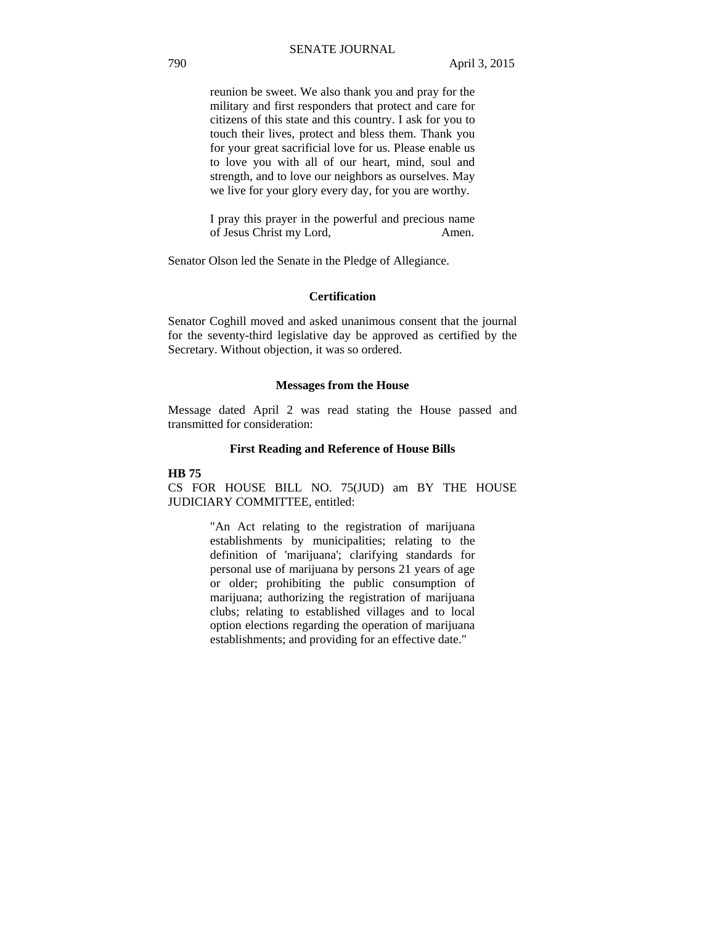reunion be sweet. We also thank you and pray for the military and first responders that protect and care for citizens of this state and this country. I ask for you to touch their lives, protect and bless them. Thank you for your great sacrificial love for us. Please enable us to love you with all of our heart, mind, soul and strength, and to love our neighbors as ourselves. May we live for your glory every day, for you are worthy.

I pray this prayer in the powerful and precious name of Jesus Christ my Lord, Amen.

Senator Olson led the Senate in the Pledge of Allegiance.

#### **Certification**

Senator Coghill moved and asked unanimous consent that the journal for the seventy-third legislative day be approved as certified by the Secretary. Without objection, it was so ordered.

#### **Messages from the House**

Message dated April 2 was read stating the House passed and transmitted for consideration:

#### **First Reading and Reference of House Bills**

#### **HB 75**

CS FOR HOUSE BILL NO. 75(JUD) am BY THE HOUSE JUDICIARY COMMITTEE, entitled:

> "An Act relating to the registration of marijuana establishments by municipalities; relating to the definition of 'marijuana'; clarifying standards for personal use of marijuana by persons 21 years of age or older; prohibiting the public consumption of marijuana; authorizing the registration of marijuana clubs; relating to established villages and to local option elections regarding the operation of marijuana establishments; and providing for an effective date."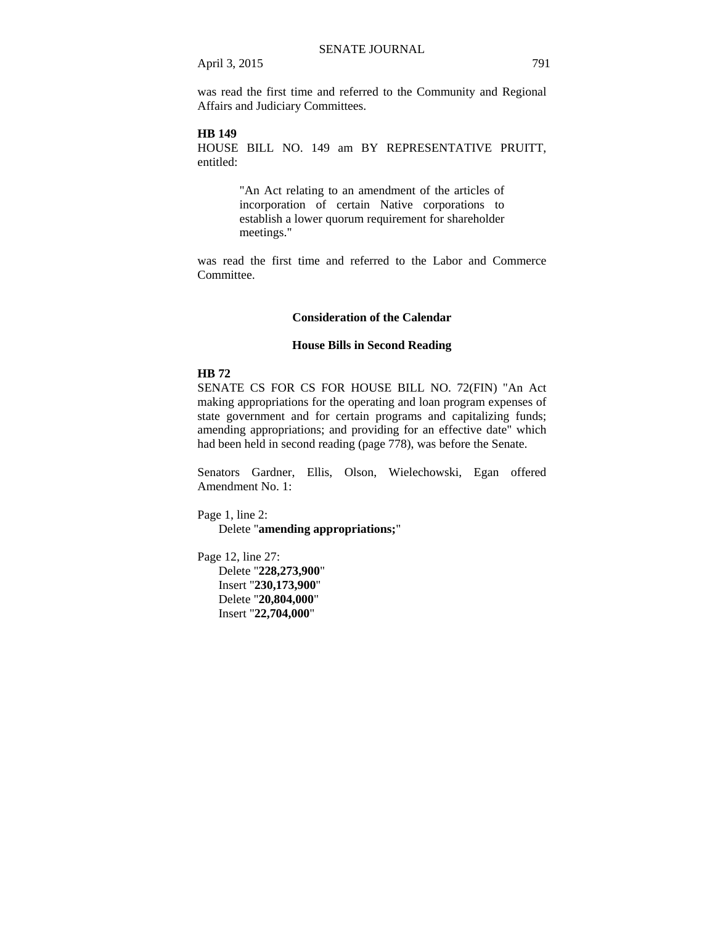was read the first time and referred to the Community and Regional Affairs and Judiciary Committees.

## **HB 149**

HOUSE BILL NO. 149 am BY REPRESENTATIVE PRUITT, entitled:

> "An Act relating to an amendment of the articles of incorporation of certain Native corporations to establish a lower quorum requirement for shareholder meetings."

was read the first time and referred to the Labor and Commerce Committee.

#### **Consideration of the Calendar**

#### **House Bills in Second Reading**

#### **HB 72**

SENATE CS FOR CS FOR HOUSE BILL NO. 72(FIN) "An Act making appropriations for the operating and loan program expenses of state government and for certain programs and capitalizing funds; amending appropriations; and providing for an effective date" which had been held in second reading (page 778), was before the Senate.

Senators Gardner, Ellis, Olson, Wielechowski, Egan offered Amendment No. 1:

Page 1, line 2:

Delete "**amending appropriations;**"

Page 12, line 27:

Delete "**228,273,900**" Insert "**230,173,900**" Delete "**20,804,000**" Insert "**22,704,000**"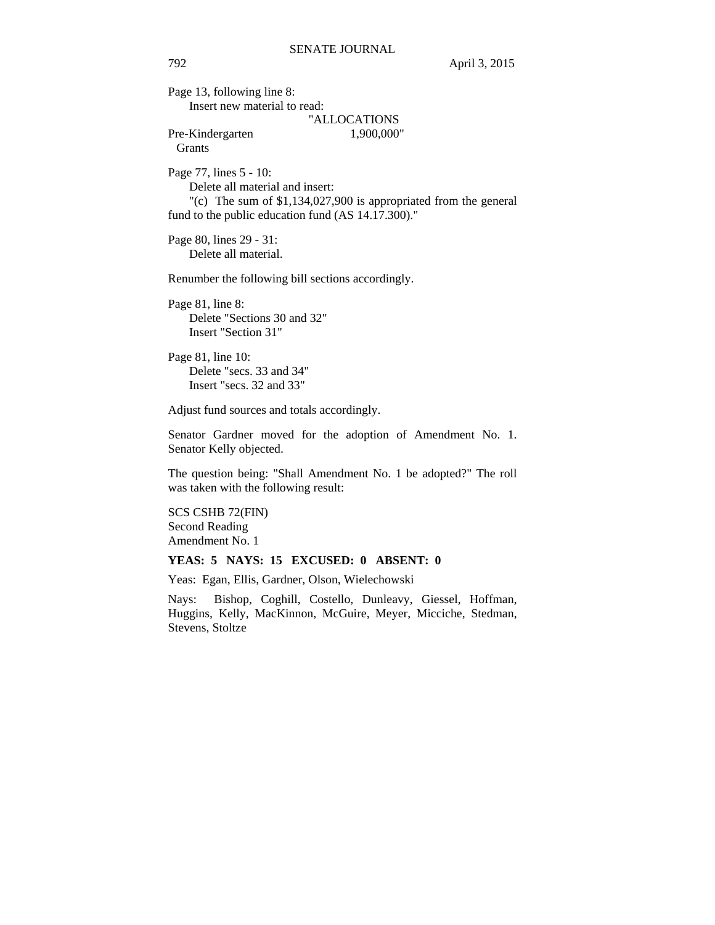Page 13, following line 8: Insert new material to read: "ALLOCATIONS Pre-Kindergarten 1,900,000" Grants Page 77, lines 5 - 10: Delete all material and insert: "(c) The sum of \$1,134,027,900 is appropriated from the general fund to the public education fund (AS 14.17.300)." Page 80, lines 29 - 31: Delete all material. Renumber the following bill sections accordingly. Page 81, line 8: Delete "Sections 30 and 32" Insert "Section 31" Page 81, line 10: Delete "secs. 33 and 34" Insert "secs. 32 and 33" Adjust fund sources and totals accordingly. Senator Gardner moved for the adoption of Amendment No. 1. Senator Kelly objected. The question being: "Shall Amendment No. 1 be adopted?" The roll was taken with the following result: SCS CSHB 72(FIN) Second Reading Amendment No. 1 **YEAS: 5 NAYS: 15 EXCUSED: 0 ABSENT: 0**  Yeas: Egan, Ellis, Gardner, Olson, Wielechowski Nays: Bishop, Coghill, Costello, Dunleavy, Giessel, Hoffman, Huggins, Kelly, MacKinnon, McGuire, Meyer, Micciche, Stedman, Stevens, Stoltze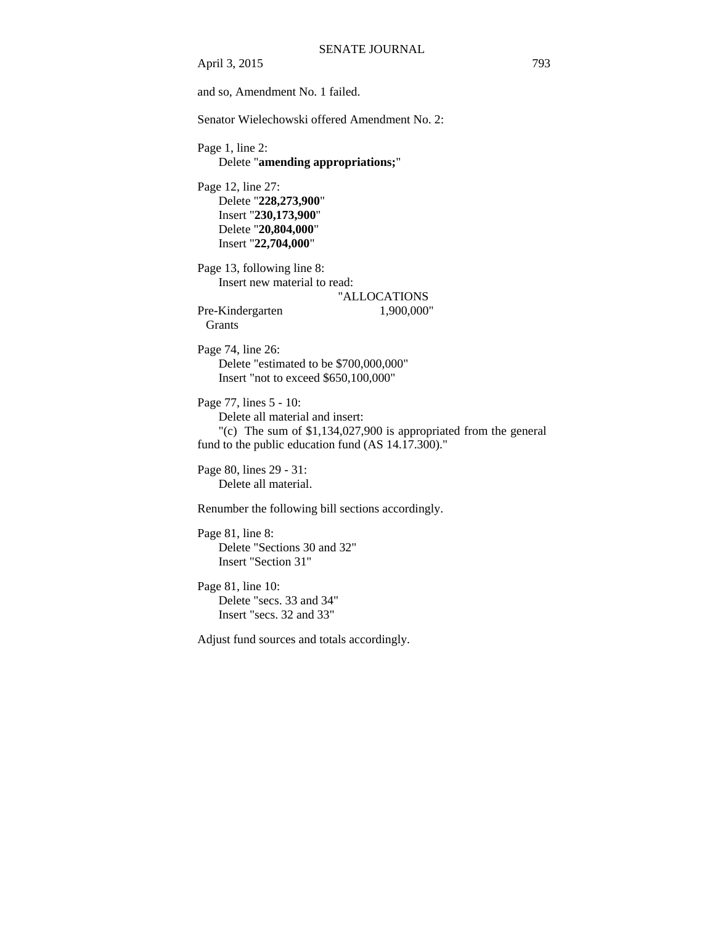April 3, 2015 793 and so, Amendment No. 1 failed. Senator Wielechowski offered Amendment No. 2: Page 1, line 2: Delete "**amending appropriations;**" Page 12, line 27: Delete "**228,273,900**" Insert "**230,173,900**" Delete "**20,804,000**" Insert "**22,704,000**" Page 13, following line 8: Insert new material to read: "ALLOCATIONS Pre-Kindergarten 1,900,000" **Grants** Page 74, line 26: Delete "estimated to be \$700,000,000" Insert "not to exceed \$650,100,000" Page 77, lines 5 - 10: Delete all material and insert: "(c) The sum of \$1,134,027,900 is appropriated from the general fund to the public education fund (AS 14.17.300)." Page 80, lines 29 - 31: Delete all material. Renumber the following bill sections accordingly. Page 81, line 8: Delete "Sections 30 and 32" Insert "Section 31" Page 81, line 10: Delete "secs. 33 and 34" Insert "secs. 32 and 33"

Adjust fund sources and totals accordingly.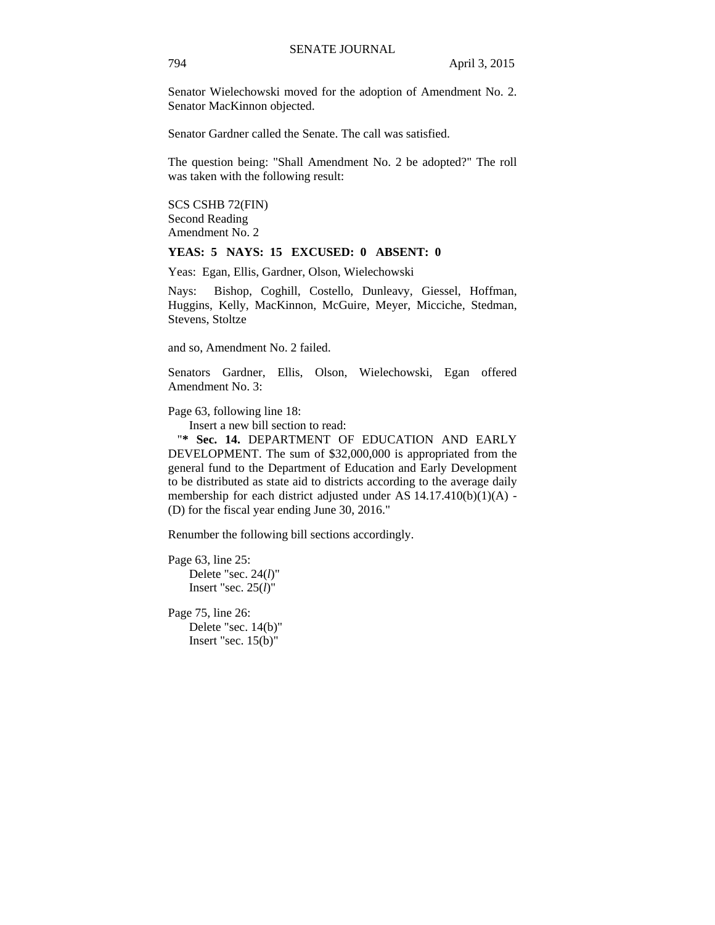Senator Wielechowski moved for the adoption of Amendment No. 2. Senator MacKinnon objected.

Senator Gardner called the Senate. The call was satisfied.

The question being: "Shall Amendment No. 2 be adopted?" The roll was taken with the following result:

SCS CSHB 72(FIN) Second Reading Amendment No. 2

## **YEAS: 5 NAYS: 15 EXCUSED: 0 ABSENT: 0**

Yeas: Egan, Ellis, Gardner, Olson, Wielechowski

Nays: Bishop, Coghill, Costello, Dunleavy, Giessel, Hoffman, Huggins, Kelly, MacKinnon, McGuire, Meyer, Micciche, Stedman, Stevens, Stoltze

and so, Amendment No. 2 failed.

Senators Gardner, Ellis, Olson, Wielechowski, Egan offered Amendment No. 3:

Page 63, following line 18:

Insert a new bill section to read:

"**\* Sec. 14.** DEPARTMENT OF EDUCATION AND EARLY DEVELOPMENT. The sum of \$32,000,000 is appropriated from the general fund to the Department of Education and Early Development to be distributed as state aid to districts according to the average daily membership for each district adjusted under AS 14.17.410(b)(1)(A) - (D) for the fiscal year ending June 30, 2016."

Renumber the following bill sections accordingly.

Page 63, line 25: Delete "sec. 24(*l*)" Insert "sec. 25(*l*)"

Page 75, line 26: Delete "sec. 14(b)" Insert "sec. 15(b)"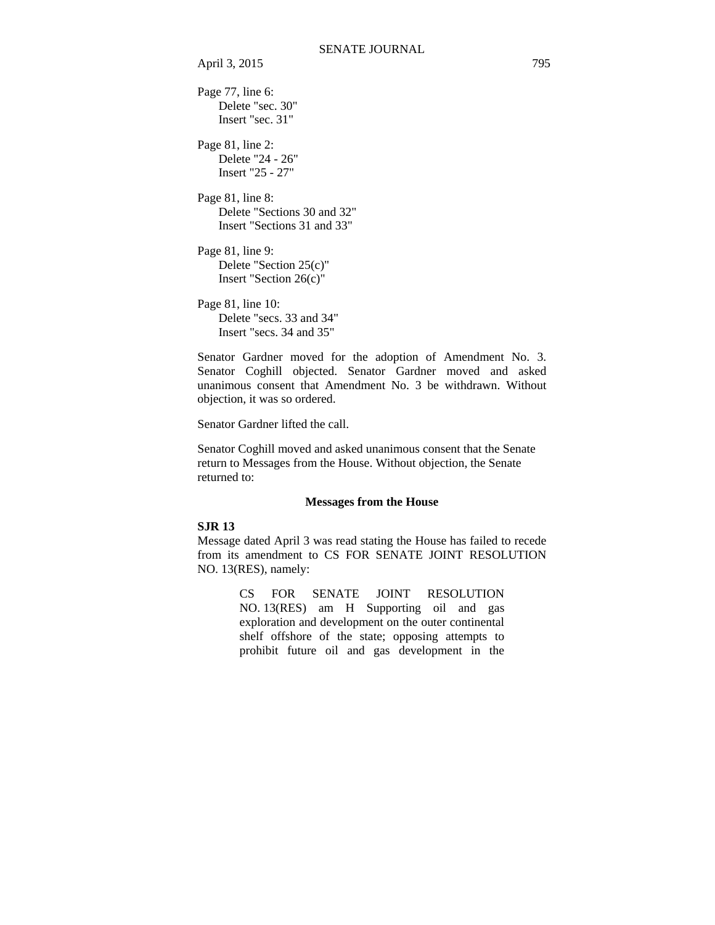```
Page 77, line 6: 
    Delete "sec. 30" 
    Insert "sec. 31" 
Page 81, line 2: 
    Delete "24 - 26" 
    Insert "25 - 27" 
Page 81, line 8: 
    Delete "Sections 30 and 32" 
    Insert "Sections 31 and 33" 
Page 81, line 9: 
    Delete "Section 25(c)" 
    Insert "Section 26(c)" 
Page 81, line 10: 
    Delete "secs. 33 and 34" 
    Insert "secs. 34 and 35"
```
Senator Gardner moved for the adoption of Amendment No. 3. Senator Coghill objected. Senator Gardner moved and asked unanimous consent that Amendment No. 3 be withdrawn. Without objection, it was so ordered.

Senator Gardner lifted the call.

Senator Coghill moved and asked unanimous consent that the Senate return to Messages from the House. Without objection, the Senate returned to:

#### **Messages from the House**

## **SJR 13**

Message dated April 3 was read stating the House has failed to recede from its amendment to CS FOR SENATE JOINT RESOLUTION NO. 13(RES), namely:

> CS FOR SENATE JOINT RESOLUTION NO. 13(RES) am H Supporting oil and gas exploration and development on the outer continental shelf offshore of the state; opposing attempts to prohibit future oil and gas development in the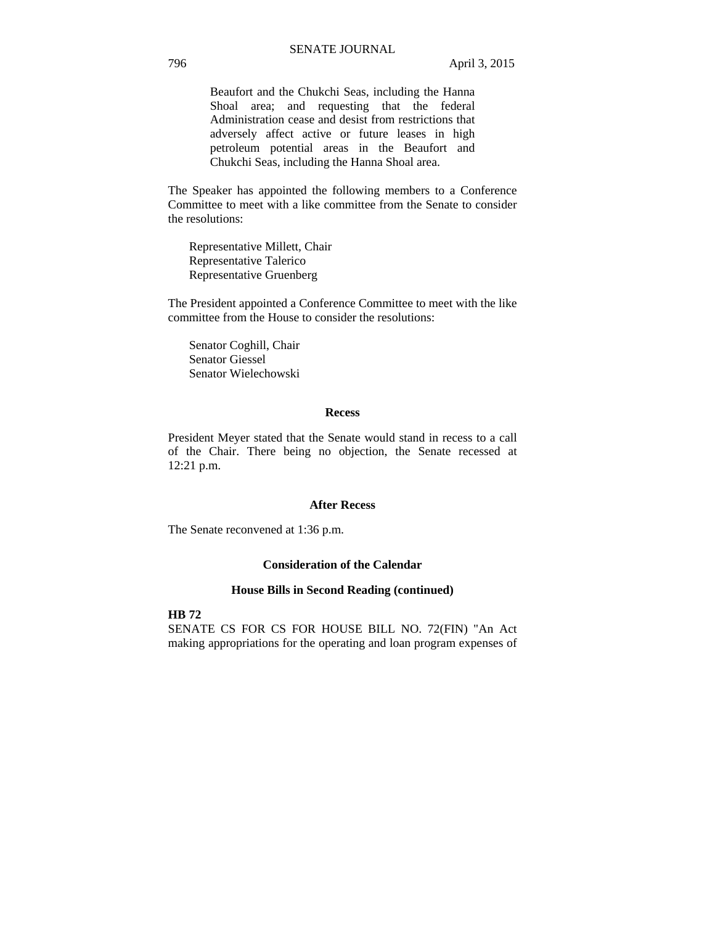Beaufort and the Chukchi Seas, including the Hanna Shoal area; and requesting that the federal Administration cease and desist from restrictions that adversely affect active or future leases in high petroleum potential areas in the Beaufort and Chukchi Seas, including the Hanna Shoal area.

The Speaker has appointed the following members to a Conference Committee to meet with a like committee from the Senate to consider the resolutions:

 Representative Millett, Chair Representative Talerico Representative Gruenberg

The President appointed a Conference Committee to meet with the like committee from the House to consider the resolutions:

Senator Coghill, Chair Senator Giessel Senator Wielechowski

#### **Recess**

President Meyer stated that the Senate would stand in recess to a call of the Chair. There being no objection, the Senate recessed at 12:21 p.m.

#### **After Recess**

The Senate reconvened at 1:36 p.m.

# **Consideration of the Calendar**

#### **House Bills in Second Reading (continued)**

**HB 72** 

SENATE CS FOR CS FOR HOUSE BILL NO. 72(FIN) "An Act making appropriations for the operating and loan program expenses of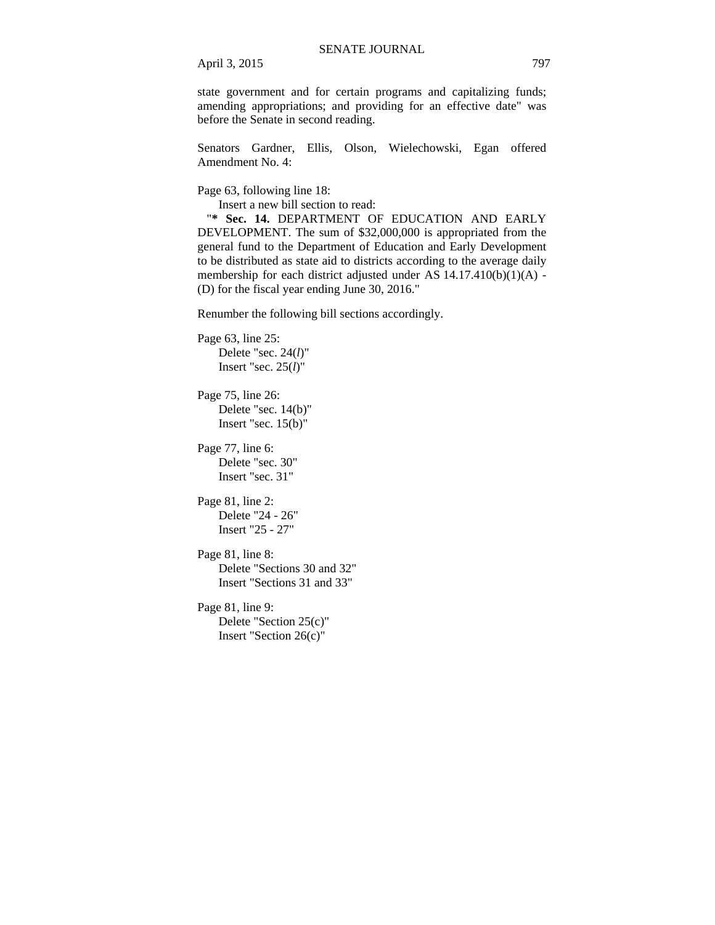state government and for certain programs and capitalizing funds; amending appropriations; and providing for an effective date" was before the Senate in second reading.

Senators Gardner, Ellis, Olson, Wielechowski, Egan offered Amendment No. 4:

Page 63, following line 18:

Insert a new bill section to read:

"**\* Sec. 14.** DEPARTMENT OF EDUCATION AND EARLY DEVELOPMENT. The sum of \$32,000,000 is appropriated from the general fund to the Department of Education and Early Development to be distributed as state aid to districts according to the average daily membership for each district adjusted under AS 14.17.410(b)(1)(A) - (D) for the fiscal year ending June 30, 2016."

Renumber the following bill sections accordingly.

```
Page 63, line 25: 
    Delete "sec. 24(l)" 
    Insert "sec. 25(l)"
```

```
Page 75, line 26: 
    Delete "sec. 14(b)"
    Insert "sec. 15(b)"
```

```
Page 77, line 6: 
    Delete "sec. 30" 
    Insert "sec. 31"
```

```
Page 81, line 2: 
    Delete "24 - 26" 
    Insert "25 - 27"
```

```
Page 81, line 8: 
    Delete "Sections 30 and 32" 
    Insert "Sections 31 and 33"
```
Page 81, line 9: Delete "Section 25(c)" Insert "Section 26(c)"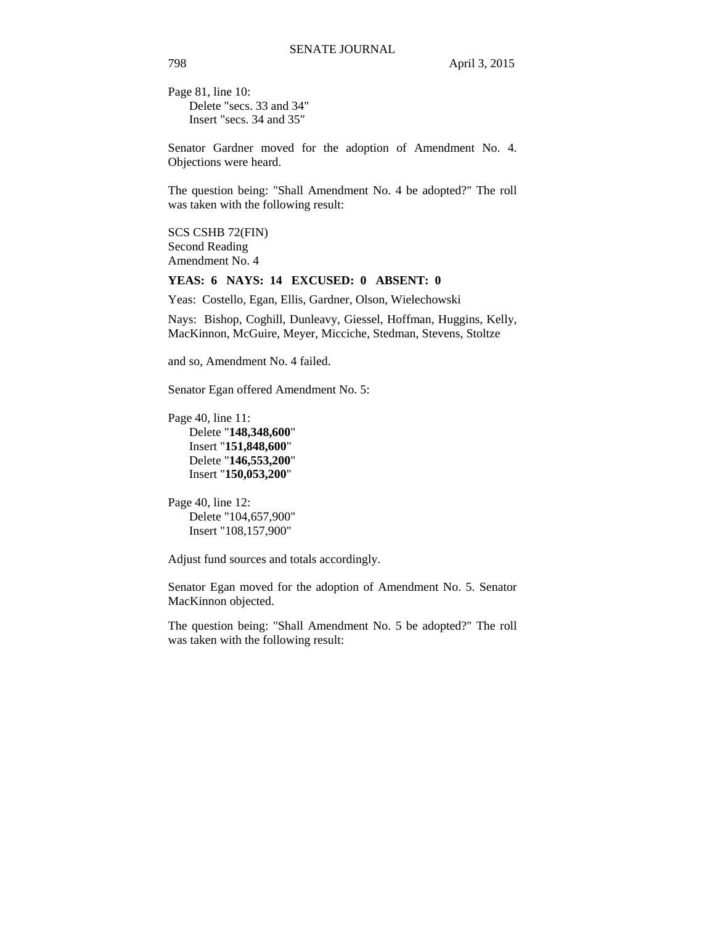Page 81, line 10: Delete "secs. 33 and 34" Insert "secs. 34 and 35"

Senator Gardner moved for the adoption of Amendment No. 4. Objections were heard.

The question being: "Shall Amendment No. 4 be adopted?" The roll was taken with the following result:

SCS CSHB 72(FIN) Second Reading Amendment No. 4

#### **YEAS: 6 NAYS: 14 EXCUSED: 0 ABSENT: 0**

Yeas: Costello, Egan, Ellis, Gardner, Olson, Wielechowski

Nays: Bishop, Coghill, Dunleavy, Giessel, Hoffman, Huggins, Kelly, MacKinnon, McGuire, Meyer, Micciche, Stedman, Stevens, Stoltze

and so, Amendment No. 4 failed.

Senator Egan offered Amendment No. 5:

Page 40, line 11: Delete "**148,348,600**" Insert "**151,848,600**" Delete "**146,553,200**" Insert "**150,053,200**"

Page 40, line 12: Delete "104,657,900" Insert "108,157,900"

Adjust fund sources and totals accordingly.

Senator Egan moved for the adoption of Amendment No. 5. Senator MacKinnon objected.

The question being: "Shall Amendment No. 5 be adopted?" The roll was taken with the following result: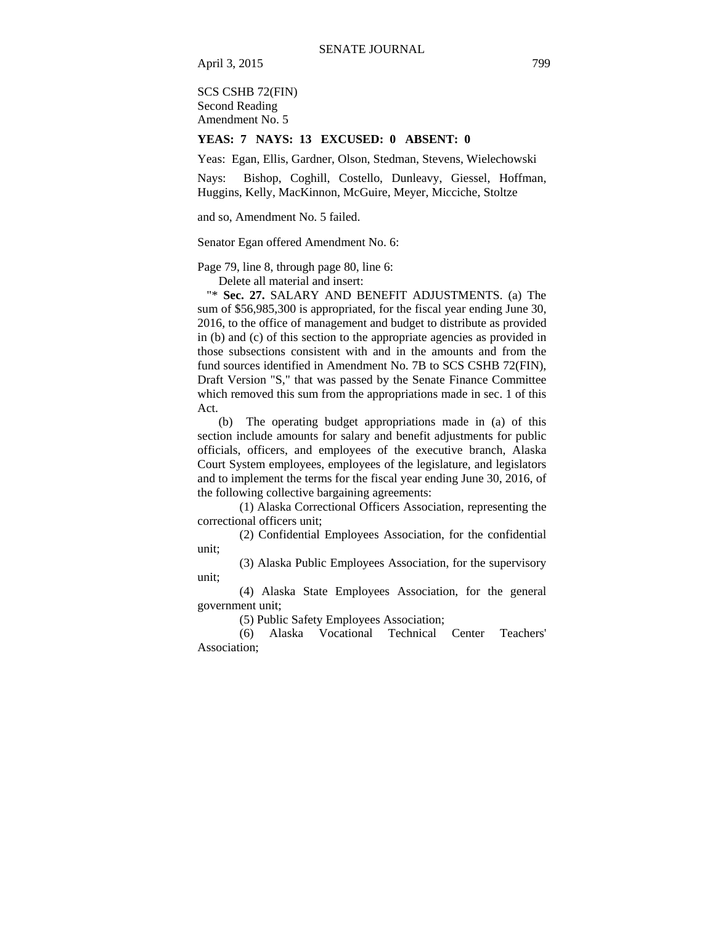SCS CSHB 72(FIN) Second Reading Amendment No. 5

#### **YEAS: 7 NAYS: 13 EXCUSED: 0 ABSENT: 0**

Yeas: Egan, Ellis, Gardner, Olson, Stedman, Stevens, Wielechowski

Nays: Bishop, Coghill, Costello, Dunleavy, Giessel, Hoffman, Huggins, Kelly, MacKinnon, McGuire, Meyer, Micciche, Stoltze

and so, Amendment No. 5 failed.

Senator Egan offered Amendment No. 6:

Page 79, line 8, through page 80, line 6:

Delete all material and insert:

 "\* **Sec. 27.** SALARY AND BENEFIT ADJUSTMENTS. (a) The sum of \$56,985,300 is appropriated, for the fiscal year ending June 30, 2016, to the office of management and budget to distribute as provided in (b) and (c) of this section to the appropriate agencies as provided in those subsections consistent with and in the amounts and from the fund sources identified in Amendment No. 7B to SCS CSHB 72(FIN), Draft Version "S," that was passed by the Senate Finance Committee which removed this sum from the appropriations made in sec. 1 of this Act.

(b) The operating budget appropriations made in (a) of this section include amounts for salary and benefit adjustments for public officials, officers, and employees of the executive branch, Alaska Court System employees, employees of the legislature, and legislators and to implement the terms for the fiscal year ending June 30, 2016, of the following collective bargaining agreements:

(1) Alaska Correctional Officers Association, representing the correctional officers unit;

(2) Confidential Employees Association, for the confidential unit;

(3) Alaska Public Employees Association, for the supervisory unit;

(4) Alaska State Employees Association, for the general government unit;

(5) Public Safety Employees Association;

(6) Alaska Vocational Technical Center Teachers' Association;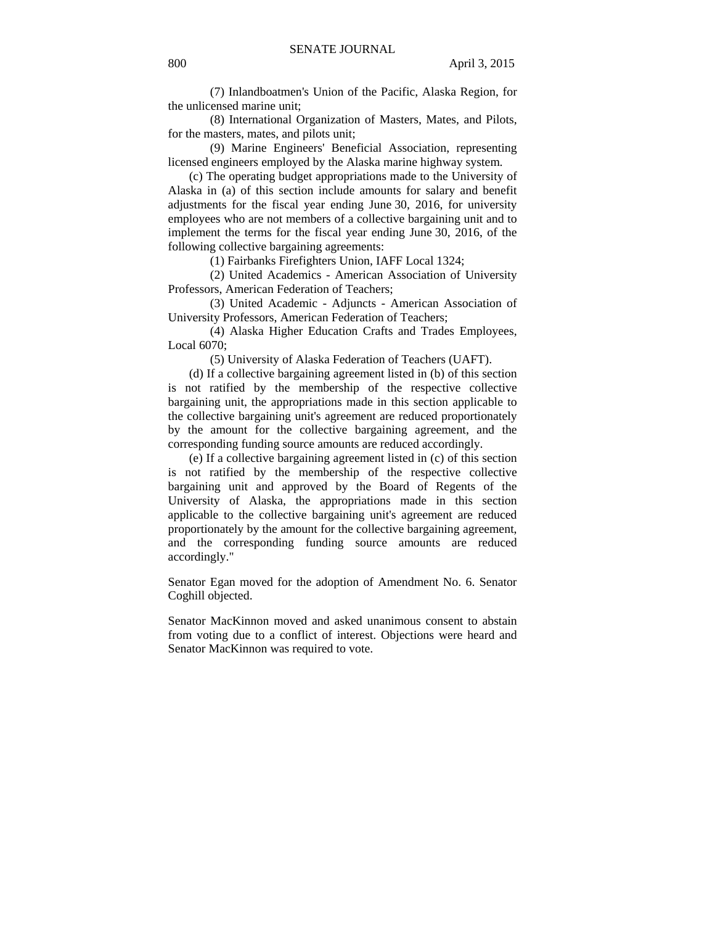(7) Inlandboatmen's Union of the Pacific, Alaska Region, for the unlicensed marine unit;

(8) International Organization of Masters, Mates, and Pilots, for the masters, mates, and pilots unit;

(9) Marine Engineers' Beneficial Association, representing licensed engineers employed by the Alaska marine highway system.

(c) The operating budget appropriations made to the University of Alaska in (a) of this section include amounts for salary and benefit adjustments for the fiscal year ending June 30, 2016, for university employees who are not members of a collective bargaining unit and to implement the terms for the fiscal year ending June 30, 2016, of the following collective bargaining agreements:

(1) Fairbanks Firefighters Union, IAFF Local 1324;

(2) United Academics - American Association of University Professors, American Federation of Teachers;

(3) United Academic - Adjuncts - American Association of University Professors, American Federation of Teachers;

(4) Alaska Higher Education Crafts and Trades Employees, Local 6070;

(5) University of Alaska Federation of Teachers (UAFT).

(d) If a collective bargaining agreement listed in (b) of this section is not ratified by the membership of the respective collective bargaining unit, the appropriations made in this section applicable to the collective bargaining unit's agreement are reduced proportionately by the amount for the collective bargaining agreement, and the corresponding funding source amounts are reduced accordingly.

(e) If a collective bargaining agreement listed in (c) of this section is not ratified by the membership of the respective collective bargaining unit and approved by the Board of Regents of the University of Alaska, the appropriations made in this section applicable to the collective bargaining unit's agreement are reduced proportionately by the amount for the collective bargaining agreement, and the corresponding funding source amounts are reduced accordingly."

Senator Egan moved for the adoption of Amendment No. 6. Senator Coghill objected.

Senator MacKinnon moved and asked unanimous consent to abstain from voting due to a conflict of interest. Objections were heard and Senator MacKinnon was required to vote.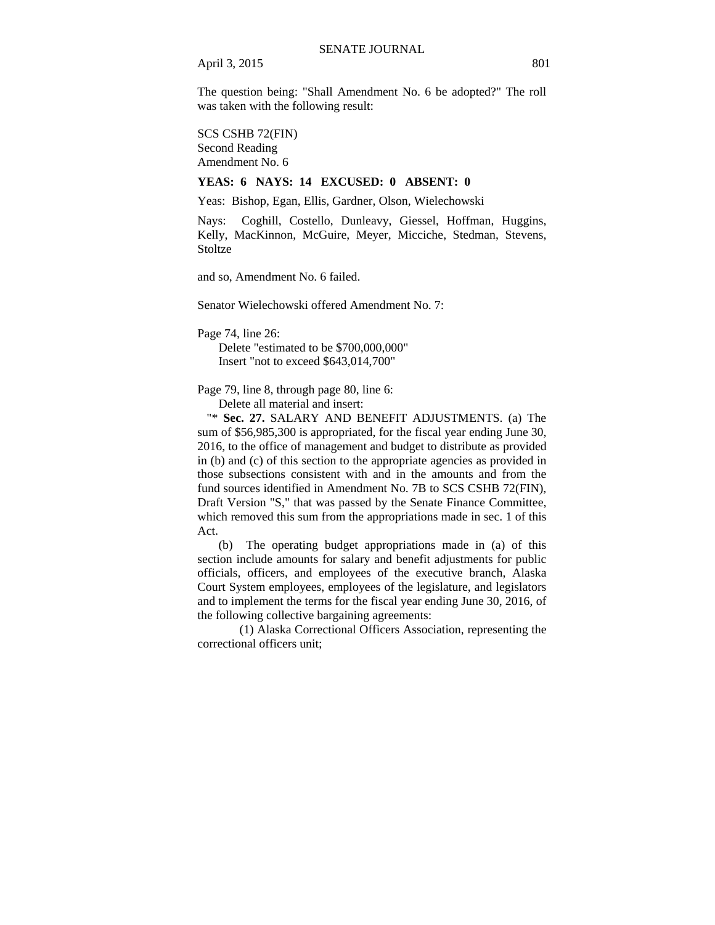The question being: "Shall Amendment No. 6 be adopted?" The roll was taken with the following result:

SCS CSHB 72(FIN)

Second Reading Amendment No. 6

## **YEAS: 6 NAYS: 14 EXCUSED: 0 ABSENT: 0**

Yeas: Bishop, Egan, Ellis, Gardner, Olson, Wielechowski

Nays: Coghill, Costello, Dunleavy, Giessel, Hoffman, Huggins, Kelly, MacKinnon, McGuire, Meyer, Micciche, Stedman, Stevens, **Stoltze** 

and so, Amendment No. 6 failed.

Senator Wielechowski offered Amendment No. 7:

Page 74, line 26:

Delete "estimated to be \$700,000,000" Insert "not to exceed \$643,014,700"

Page 79, line 8, through page 80, line 6:

Delete all material and insert:

 "\* **Sec. 27.** SALARY AND BENEFIT ADJUSTMENTS. (a) The sum of \$56,985,300 is appropriated, for the fiscal year ending June 30, 2016, to the office of management and budget to distribute as provided in (b) and (c) of this section to the appropriate agencies as provided in those subsections consistent with and in the amounts and from the fund sources identified in Amendment No. 7B to SCS CSHB 72(FIN), Draft Version "S," that was passed by the Senate Finance Committee, which removed this sum from the appropriations made in sec. 1 of this Act.

(b) The operating budget appropriations made in (a) of this section include amounts for salary and benefit adjustments for public officials, officers, and employees of the executive branch, Alaska Court System employees, employees of the legislature, and legislators and to implement the terms for the fiscal year ending June 30, 2016, of the following collective bargaining agreements:

(1) Alaska Correctional Officers Association, representing the correctional officers unit;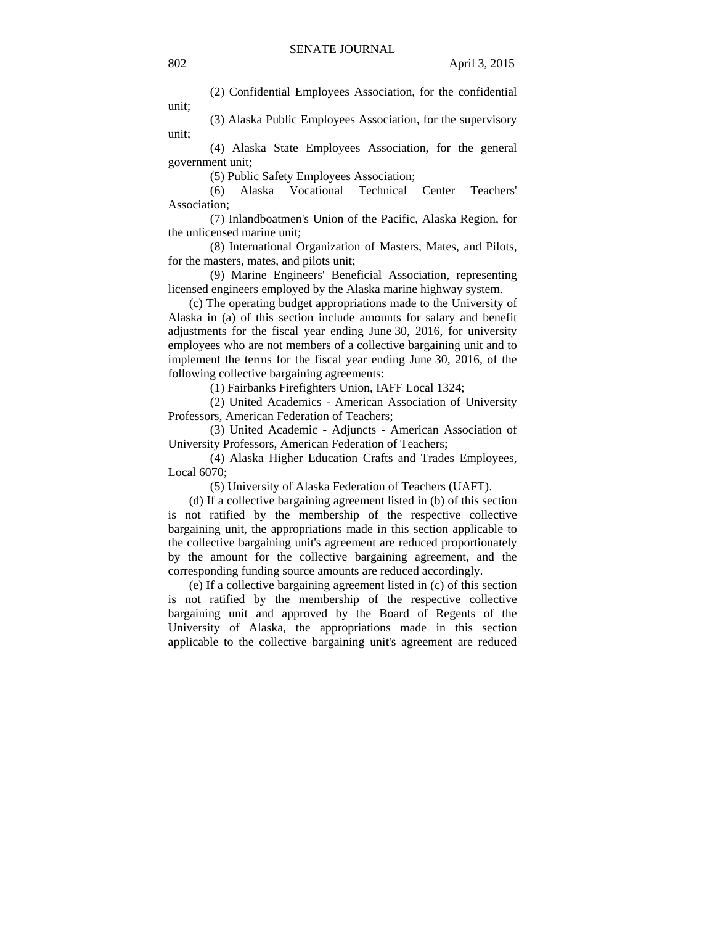(2) Confidential Employees Association, for the confidential unit;

(3) Alaska Public Employees Association, for the supervisory unit;

(4) Alaska State Employees Association, for the general government unit;

(5) Public Safety Employees Association;

(6) Alaska Vocational Technical Center Teachers' Association;

(7) Inlandboatmen's Union of the Pacific, Alaska Region, for the unlicensed marine unit;

(8) International Organization of Masters, Mates, and Pilots, for the masters, mates, and pilots unit;

(9) Marine Engineers' Beneficial Association, representing licensed engineers employed by the Alaska marine highway system.

(c) The operating budget appropriations made to the University of Alaska in (a) of this section include amounts for salary and benefit adjustments for the fiscal year ending June 30, 2016, for university employees who are not members of a collective bargaining unit and to implement the terms for the fiscal year ending June 30, 2016, of the following collective bargaining agreements:

(1) Fairbanks Firefighters Union, IAFF Local 1324;

(2) United Academics - American Association of University Professors, American Federation of Teachers;

(3) United Academic - Adjuncts - American Association of University Professors, American Federation of Teachers;

(4) Alaska Higher Education Crafts and Trades Employees, Local 6070;

(5) University of Alaska Federation of Teachers (UAFT).

(d) If a collective bargaining agreement listed in (b) of this section is not ratified by the membership of the respective collective bargaining unit, the appropriations made in this section applicable to the collective bargaining unit's agreement are reduced proportionately by the amount for the collective bargaining agreement, and the corresponding funding source amounts are reduced accordingly.

(e) If a collective bargaining agreement listed in (c) of this section is not ratified by the membership of the respective collective bargaining unit and approved by the Board of Regents of the University of Alaska, the appropriations made in this section applicable to the collective bargaining unit's agreement are reduced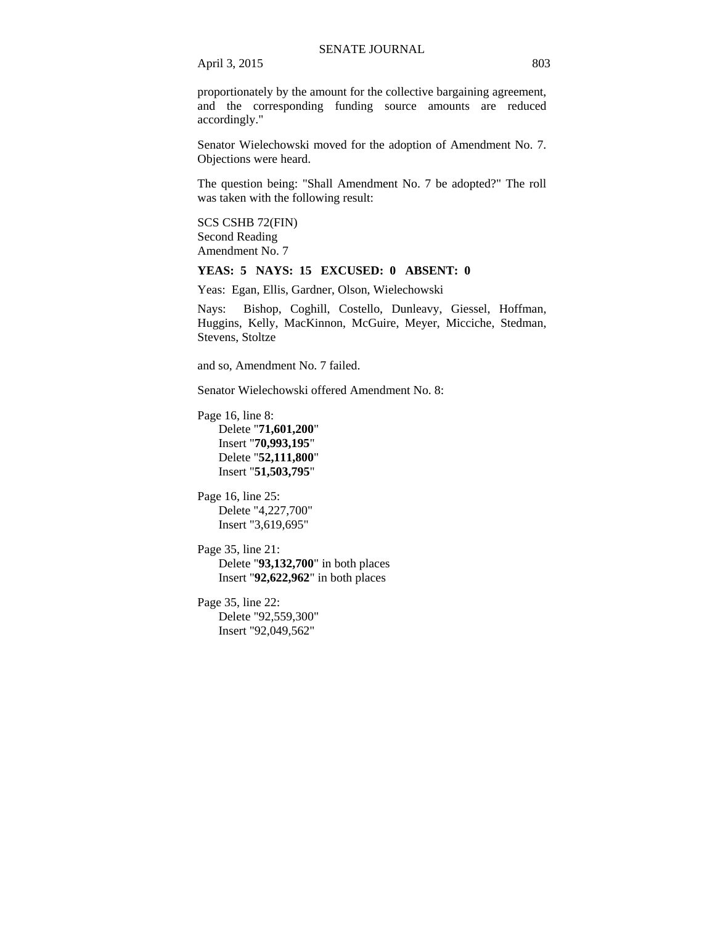proportionately by the amount for the collective bargaining agreement, and the corresponding funding source amounts are reduced accordingly."

Senator Wielechowski moved for the adoption of Amendment No. 7. Objections were heard.

The question being: "Shall Amendment No. 7 be adopted?" The roll was taken with the following result:

SCS CSHB 72(FIN) Second Reading Amendment No. 7

# **YEAS: 5 NAYS: 15 EXCUSED: 0 ABSENT: 0**

Yeas: Egan, Ellis, Gardner, Olson, Wielechowski

Nays: Bishop, Coghill, Costello, Dunleavy, Giessel, Hoffman, Huggins, Kelly, MacKinnon, McGuire, Meyer, Micciche, Stedman, Stevens, Stoltze

and so, Amendment No. 7 failed.

Senator Wielechowski offered Amendment No. 8:

Page 16, line 8:

Delete "**71,601,200**" Insert "**70,993,195**" Delete "**52,111,800**" Insert "**51,503,795**"

Page 16, line 25: Delete "4,227,700" Insert "3,619,695"

Page 35, line 21: Delete "**93,132,700**" in both places Insert "**92,622,962**" in both places

Page 35, line 22: Delete "92,559,300" Insert "92,049,562"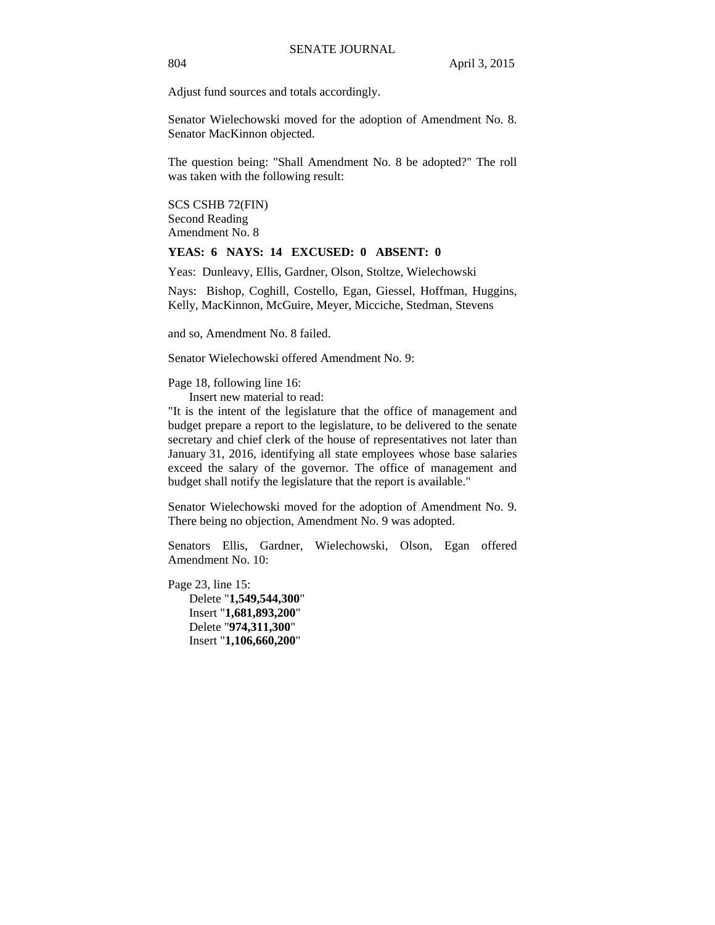Adjust fund sources and totals accordingly.

Senator Wielechowski moved for the adoption of Amendment No. 8. Senator MacKinnon objected.

The question being: "Shall Amendment No. 8 be adopted?" The roll was taken with the following result:

SCS CSHB 72(FIN) Second Reading Amendment No. 8

## **YEAS: 6 NAYS: 14 EXCUSED: 0 ABSENT: 0**

Yeas: Dunleavy, Ellis, Gardner, Olson, Stoltze, Wielechowski

Nays: Bishop, Coghill, Costello, Egan, Giessel, Hoffman, Huggins, Kelly, MacKinnon, McGuire, Meyer, Micciche, Stedman, Stevens

and so, Amendment No. 8 failed.

Senator Wielechowski offered Amendment No. 9:

Page 18, following line 16:

Insert new material to read:

"It is the intent of the legislature that the office of management and budget prepare a report to the legislature, to be delivered to the senate secretary and chief clerk of the house of representatives not later than January 31, 2016, identifying all state employees whose base salaries exceed the salary of the governor. The office of management and budget shall notify the legislature that the report is available."

Senator Wielechowski moved for the adoption of Amendment No. 9. There being no objection, Amendment No. 9 was adopted.

Senators Ellis, Gardner, Wielechowski, Olson, Egan offered Amendment No. 10:

Page 23, line 15: Delete "**1,549,544,300**" Insert "**1,681,893,200**" Delete "**974,311,300**" Insert "**1,106,660,200**"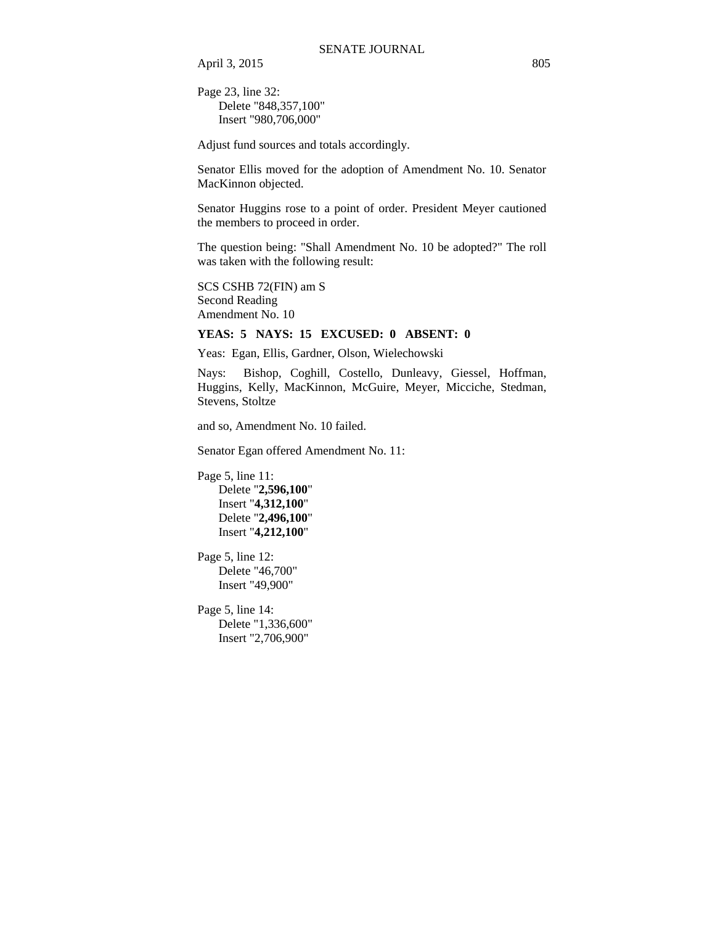Page 23, line 32: Delete "848,357,100" Insert "980,706,000"

Adjust fund sources and totals accordingly.

Senator Ellis moved for the adoption of Amendment No. 10. Senator MacKinnon objected.

Senator Huggins rose to a point of order. President Meyer cautioned the members to proceed in order.

The question being: "Shall Amendment No. 10 be adopted?" The roll was taken with the following result:

SCS CSHB 72(FIN) am S Second Reading Amendment No. 10

# **YEAS: 5 NAYS: 15 EXCUSED: 0 ABSENT: 0**

Yeas: Egan, Ellis, Gardner, Olson, Wielechowski

Nays: Bishop, Coghill, Costello, Dunleavy, Giessel, Hoffman, Huggins, Kelly, MacKinnon, McGuire, Meyer, Micciche, Stedman, Stevens, Stoltze

and so, Amendment No. 10 failed.

Senator Egan offered Amendment No. 11:

Page 5, line 11: Delete "**2,596,100**" Insert "**4,312,100**" Delete "**2,496,100**" Insert "**4,212,100**"

Page 5, line 12: Delete "46,700" Insert "49,900"

Page 5, line 14: Delete "1,336,600" Insert "2,706,900"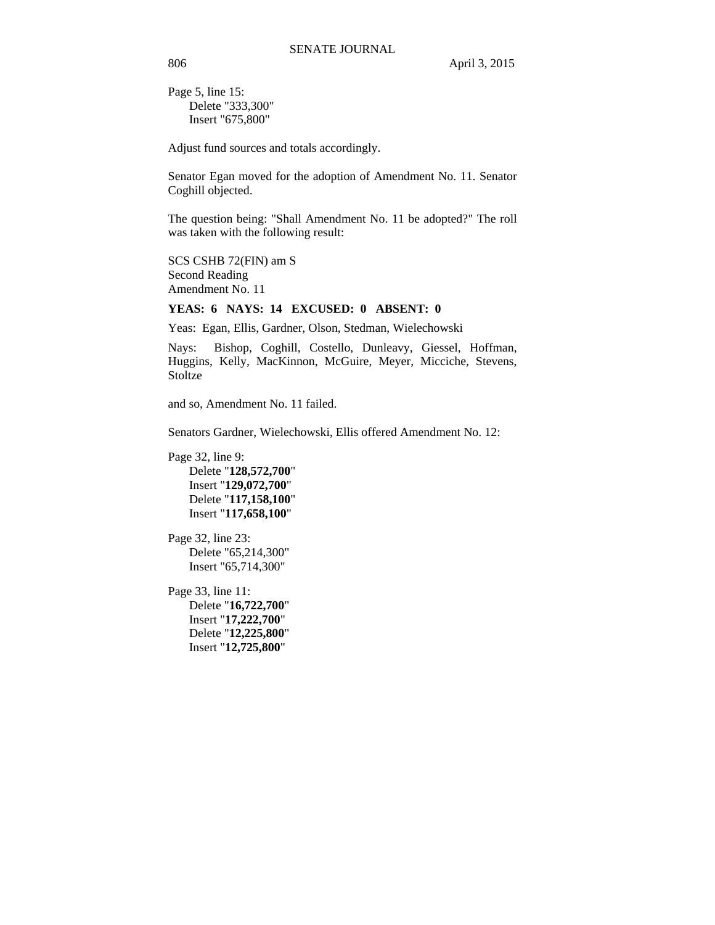Page 5, line 15: Delete "333,300" Insert "675,800"

Adjust fund sources and totals accordingly.

Senator Egan moved for the adoption of Amendment No. 11. Senator Coghill objected.

The question being: "Shall Amendment No. 11 be adopted?" The roll was taken with the following result:

SCS CSHB 72(FIN) am S Second Reading Amendment No. 11

## **YEAS: 6 NAYS: 14 EXCUSED: 0 ABSENT: 0**

Yeas: Egan, Ellis, Gardner, Olson, Stedman, Wielechowski

Nays: Bishop, Coghill, Costello, Dunleavy, Giessel, Hoffman, Huggins, Kelly, MacKinnon, McGuire, Meyer, Micciche, Stevens, Stoltze

and so, Amendment No. 11 failed.

Senators Gardner, Wielechowski, Ellis offered Amendment No. 12:

Page 32, line 9: Delete "**128,572,700**" Insert "**129,072,700**" Delete "**117,158,100**" Insert "**117,658,100**"

Page 32, line 23: Delete "65,214,300" Insert "65,714,300"

Page 33, line 11: Delete "**16,722,700**" Insert "**17,222,700**" Delete "**12,225,800**" Insert "**12,725,800**"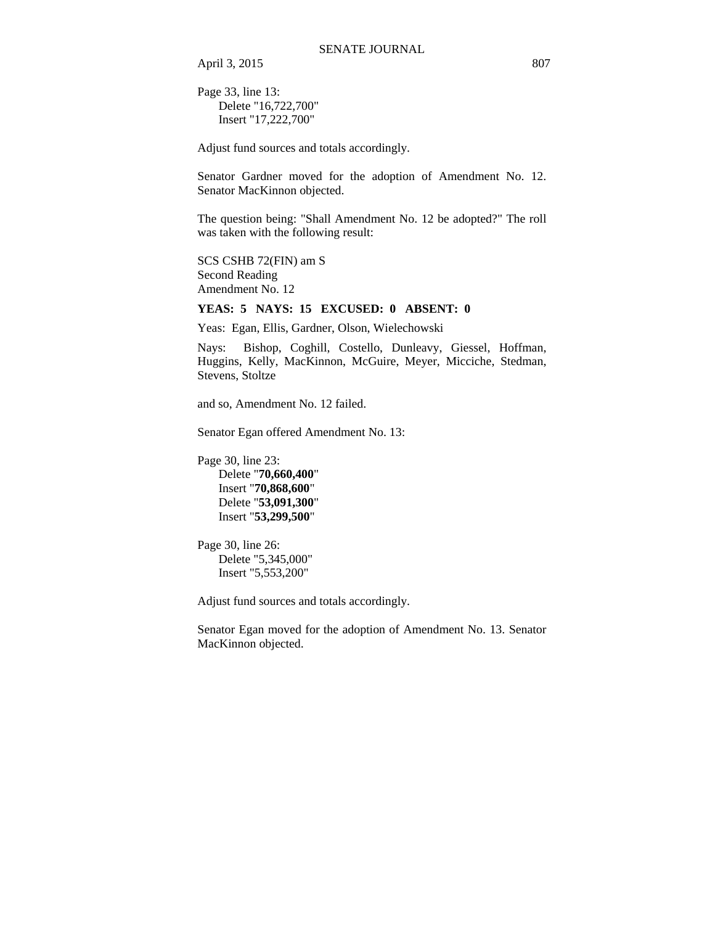Page 33, line 13: Delete "16,722,700" Insert "17,222,700"

Adjust fund sources and totals accordingly.

Senator Gardner moved for the adoption of Amendment No. 12. Senator MacKinnon objected.

The question being: "Shall Amendment No. 12 be adopted?" The roll was taken with the following result:

SCS CSHB 72(FIN) am S Second Reading Amendment No. 12

#### **YEAS: 5 NAYS: 15 EXCUSED: 0 ABSENT: 0**

Yeas: Egan, Ellis, Gardner, Olson, Wielechowski

Nays: Bishop, Coghill, Costello, Dunleavy, Giessel, Hoffman, Huggins, Kelly, MacKinnon, McGuire, Meyer, Micciche, Stedman, Stevens, Stoltze

and so, Amendment No. 12 failed.

Senator Egan offered Amendment No. 13:

Page 30, line 23: Delete "**70,660,400**" Insert "**70,868,600**"

Delete "**53,091,300**" Insert "**53,299,500**"

Page 30, line 26: Delete "5,345,000" Insert "5,553,200"

Adjust fund sources and totals accordingly.

Senator Egan moved for the adoption of Amendment No. 13. Senator MacKinnon objected.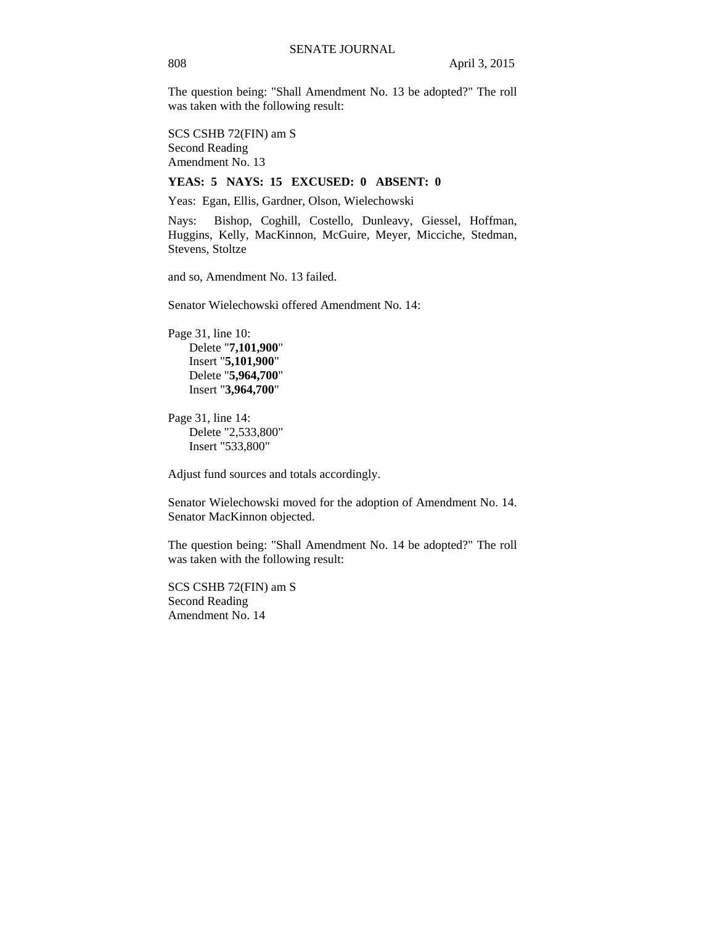The question being: "Shall Amendment No. 13 be adopted?" The roll was taken with the following result:

SCS CSHB 72(FIN) am S Second Reading Amendment No. 13

### **YEAS: 5 NAYS: 15 EXCUSED: 0 ABSENT: 0**

Yeas: Egan, Ellis, Gardner, Olson, Wielechowski

Nays: Bishop, Coghill, Costello, Dunleavy, Giessel, Hoffman, Huggins, Kelly, MacKinnon, McGuire, Meyer, Micciche, Stedman, Stevens, Stoltze

and so, Amendment No. 13 failed.

Senator Wielechowski offered Amendment No. 14:

Page 31, line 10: Delete "**7,101,900**" Insert "**5,101,900**" Delete "**5,964,700**" Insert "**3,964,700**"

Page 31, line 14: Delete "2,533,800" Insert "533,800"

Adjust fund sources and totals accordingly.

Senator Wielechowski moved for the adoption of Amendment No. 14. Senator MacKinnon objected.

The question being: "Shall Amendment No. 14 be adopted?" The roll was taken with the following result:

SCS CSHB 72(FIN) am S Second Reading Amendment No. 14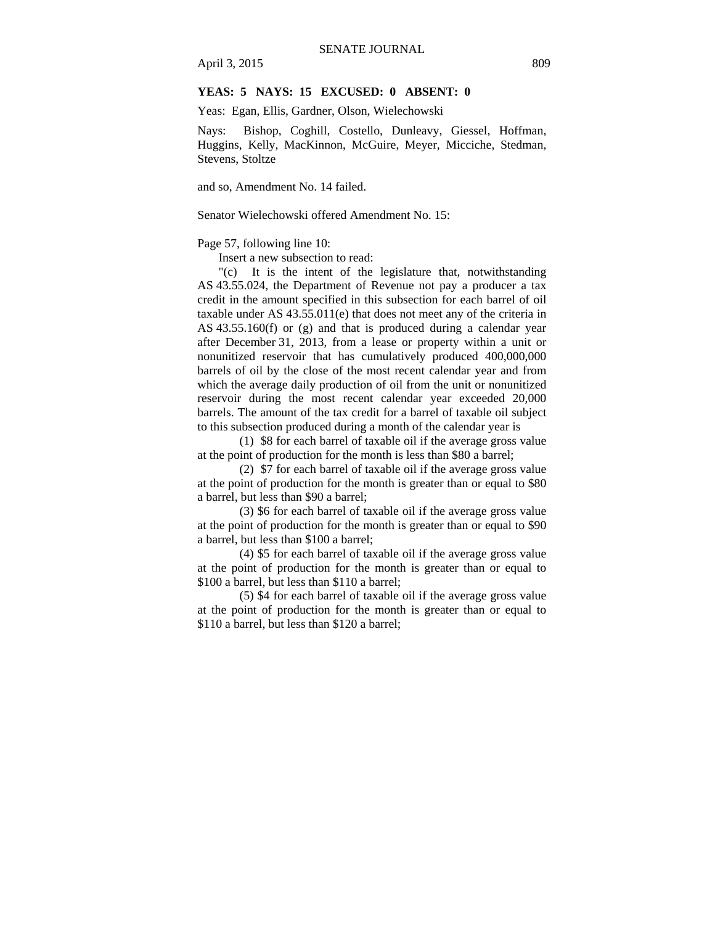## **YEAS: 5 NAYS: 15 EXCUSED: 0 ABSENT: 0**

Yeas: Egan, Ellis, Gardner, Olson, Wielechowski

Nays: Bishop, Coghill, Costello, Dunleavy, Giessel, Hoffman, Huggins, Kelly, MacKinnon, McGuire, Meyer, Micciche, Stedman, Stevens, Stoltze

and so, Amendment No. 14 failed.

Senator Wielechowski offered Amendment No. 15:

Page 57, following line 10:

Insert a new subsection to read:

"(c) It is the intent of the legislature that, notwithstanding AS 43.55.024, the Department of Revenue not pay a producer a tax credit in the amount specified in this subsection for each barrel of oil taxable under AS 43.55.011(e) that does not meet any of the criteria in AS 43.55.160(f) or (g) and that is produced during a calendar year after December 31, 2013, from a lease or property within a unit or nonunitized reservoir that has cumulatively produced 400,000,000 barrels of oil by the close of the most recent calendar year and from which the average daily production of oil from the unit or nonunitized reservoir during the most recent calendar year exceeded 20,000 barrels. The amount of the tax credit for a barrel of taxable oil subject to this subsection produced during a month of the calendar year is

(1) \$8 for each barrel of taxable oil if the average gross value at the point of production for the month is less than \$80 a barrel;

(2) \$7 for each barrel of taxable oil if the average gross value at the point of production for the month is greater than or equal to \$80 a barrel, but less than \$90 a barrel;

(3) \$6 for each barrel of taxable oil if the average gross value at the point of production for the month is greater than or equal to \$90 a barrel, but less than \$100 a barrel;

(4) \$5 for each barrel of taxable oil if the average gross value at the point of production for the month is greater than or equal to \$100 a barrel, but less than \$110 a barrel;

(5) \$4 for each barrel of taxable oil if the average gross value at the point of production for the month is greater than or equal to \$110 a barrel, but less than \$120 a barrel;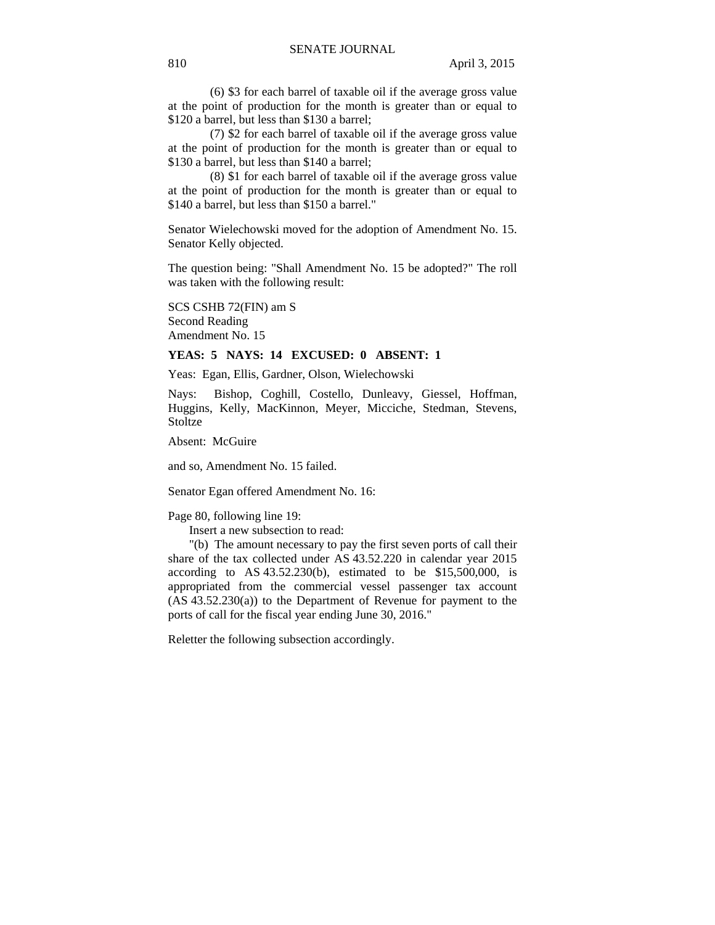(6) \$3 for each barrel of taxable oil if the average gross value at the point of production for the month is greater than or equal to \$120 a barrel, but less than \$130 a barrel;

(7) \$2 for each barrel of taxable oil if the average gross value at the point of production for the month is greater than or equal to \$130 a barrel, but less than \$140 a barrel;

(8) \$1 for each barrel of taxable oil if the average gross value at the point of production for the month is greater than or equal to \$140 a barrel, but less than \$150 a barrel."

Senator Wielechowski moved for the adoption of Amendment No. 15. Senator Kelly objected.

The question being: "Shall Amendment No. 15 be adopted?" The roll was taken with the following result:

SCS CSHB 72(FIN) am S Second Reading Amendment No. 15

#### **YEAS: 5 NAYS: 14 EXCUSED: 0 ABSENT: 1**

Yeas: Egan, Ellis, Gardner, Olson, Wielechowski

Nays: Bishop, Coghill, Costello, Dunleavy, Giessel, Hoffman, Huggins, Kelly, MacKinnon, Meyer, Micciche, Stedman, Stevens, **Stoltze** 

Absent: McGuire

and so, Amendment No. 15 failed.

Senator Egan offered Amendment No. 16:

Page 80, following line 19:

Insert a new subsection to read:

"(b) The amount necessary to pay the first seven ports of call their share of the tax collected under AS 43.52.220 in calendar year 2015 according to AS  $43.52.230(b)$ , estimated to be \$15,500,000, is appropriated from the commercial vessel passenger tax account (AS 43.52.230(a)) to the Department of Revenue for payment to the ports of call for the fiscal year ending June 30, 2016."

Reletter the following subsection accordingly.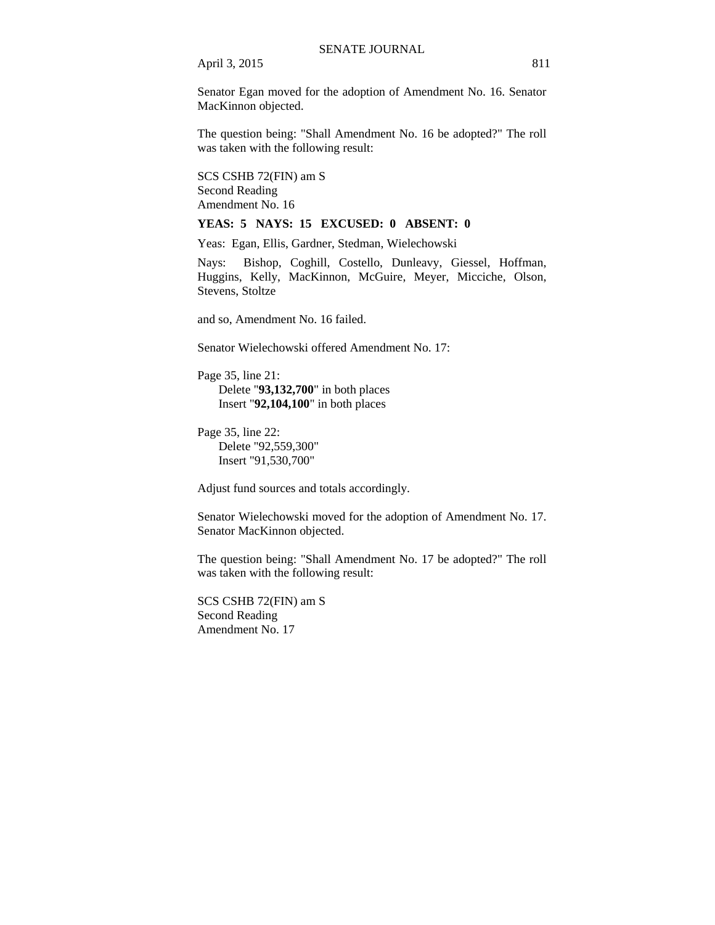Senator Egan moved for the adoption of Amendment No. 16. Senator MacKinnon objected.

The question being: "Shall Amendment No. 16 be adopted?" The roll was taken with the following result:

SCS CSHB 72(FIN) am S Second Reading Amendment No. 16

#### **YEAS: 5 NAYS: 15 EXCUSED: 0 ABSENT: 0**

Yeas: Egan, Ellis, Gardner, Stedman, Wielechowski

Nays: Bishop, Coghill, Costello, Dunleavy, Giessel, Hoffman, Huggins, Kelly, MacKinnon, McGuire, Meyer, Micciche, Olson, Stevens, Stoltze

and so, Amendment No. 16 failed.

Senator Wielechowski offered Amendment No. 17:

Page 35, line 21: Delete "**93,132,700**" in both places Insert "**92,104,100**" in both places

Page 35, line 22: Delete "92,559,300" Insert "91,530,700"

Adjust fund sources and totals accordingly.

Senator Wielechowski moved for the adoption of Amendment No. 17. Senator MacKinnon objected.

The question being: "Shall Amendment No. 17 be adopted?" The roll was taken with the following result:

SCS CSHB 72(FIN) am S Second Reading Amendment No. 17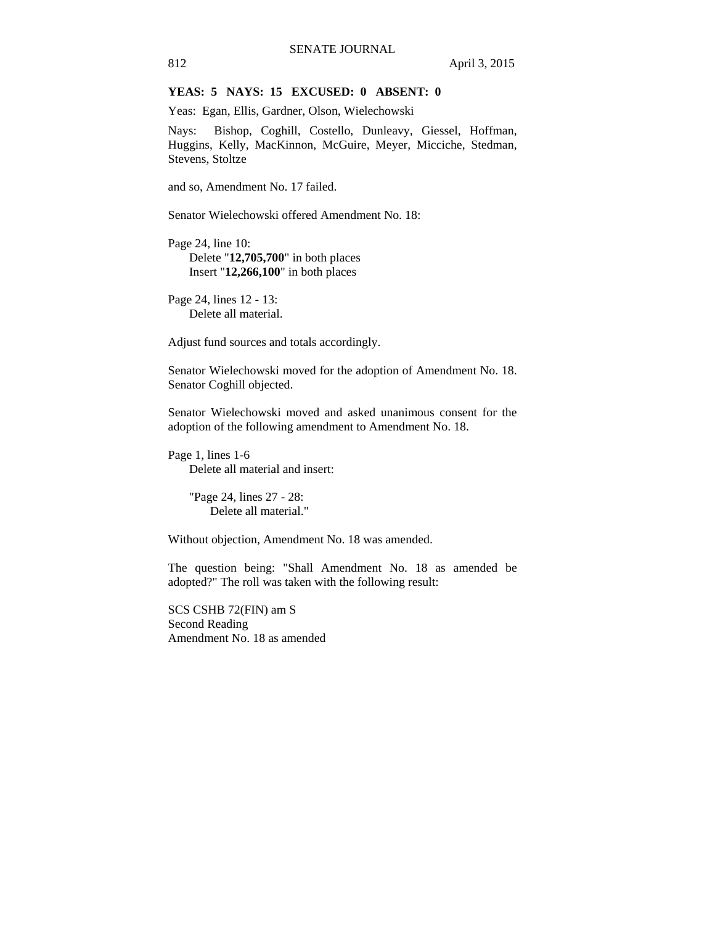# **YEAS: 5 NAYS: 15 EXCUSED: 0 ABSENT: 0**

Yeas: Egan, Ellis, Gardner, Olson, Wielechowski

Nays: Bishop, Coghill, Costello, Dunleavy, Giessel, Hoffman, Huggins, Kelly, MacKinnon, McGuire, Meyer, Micciche, Stedman, Stevens, Stoltze

and so, Amendment No. 17 failed.

Senator Wielechowski offered Amendment No. 18:

Page 24, line 10: Delete "**12,705,700**" in both places Insert "**12,266,100**" in both places

Page 24, lines 12 - 13: Delete all material.

Adjust fund sources and totals accordingly.

Senator Wielechowski moved for the adoption of Amendment No. 18. Senator Coghill objected.

Senator Wielechowski moved and asked unanimous consent for the adoption of the following amendment to Amendment No. 18.

Page 1, lines 1-6 Delete all material and insert:

> "Page 24, lines 27 - 28: Delete all material."

Without objection, Amendment No. 18 was amended.

The question being: "Shall Amendment No. 18 as amended be adopted?" The roll was taken with the following result:

SCS CSHB 72(FIN) am S Second Reading Amendment No. 18 as amended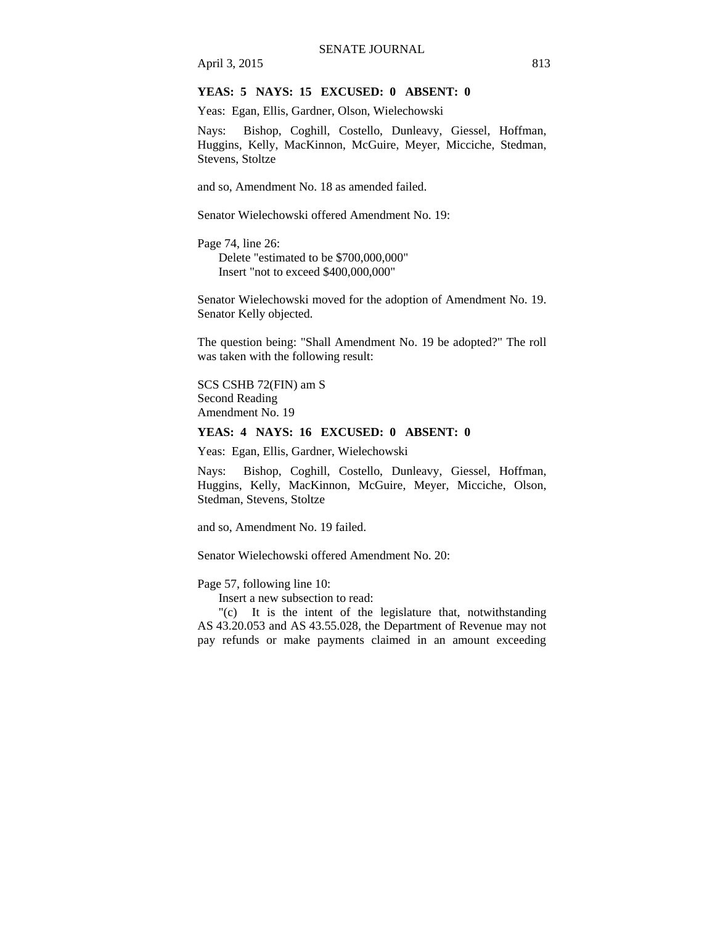## **YEAS: 5 NAYS: 15 EXCUSED: 0 ABSENT: 0**

Yeas: Egan, Ellis, Gardner, Olson, Wielechowski

Nays: Bishop, Coghill, Costello, Dunleavy, Giessel, Hoffman, Huggins, Kelly, MacKinnon, McGuire, Meyer, Micciche, Stedman, Stevens, Stoltze

and so, Amendment No. 18 as amended failed.

Senator Wielechowski offered Amendment No. 19:

Page 74, line 26: Delete "estimated to be \$700,000,000" Insert "not to exceed \$400,000,000"

Senator Wielechowski moved for the adoption of Amendment No. 19. Senator Kelly objected.

The question being: "Shall Amendment No. 19 be adopted?" The roll was taken with the following result:

SCS CSHB 72(FIN) am S Second Reading Amendment No. 19

#### **YEAS: 4 NAYS: 16 EXCUSED: 0 ABSENT: 0**

Yeas: Egan, Ellis, Gardner, Wielechowski

Nays: Bishop, Coghill, Costello, Dunleavy, Giessel, Hoffman, Huggins, Kelly, MacKinnon, McGuire, Meyer, Micciche, Olson, Stedman, Stevens, Stoltze

and so, Amendment No. 19 failed.

Senator Wielechowski offered Amendment No. 20:

Page 57, following line 10:

Insert a new subsection to read:

"(c) It is the intent of the legislature that, notwithstanding AS 43.20.053 and AS 43.55.028, the Department of Revenue may not pay refunds or make payments claimed in an amount exceeding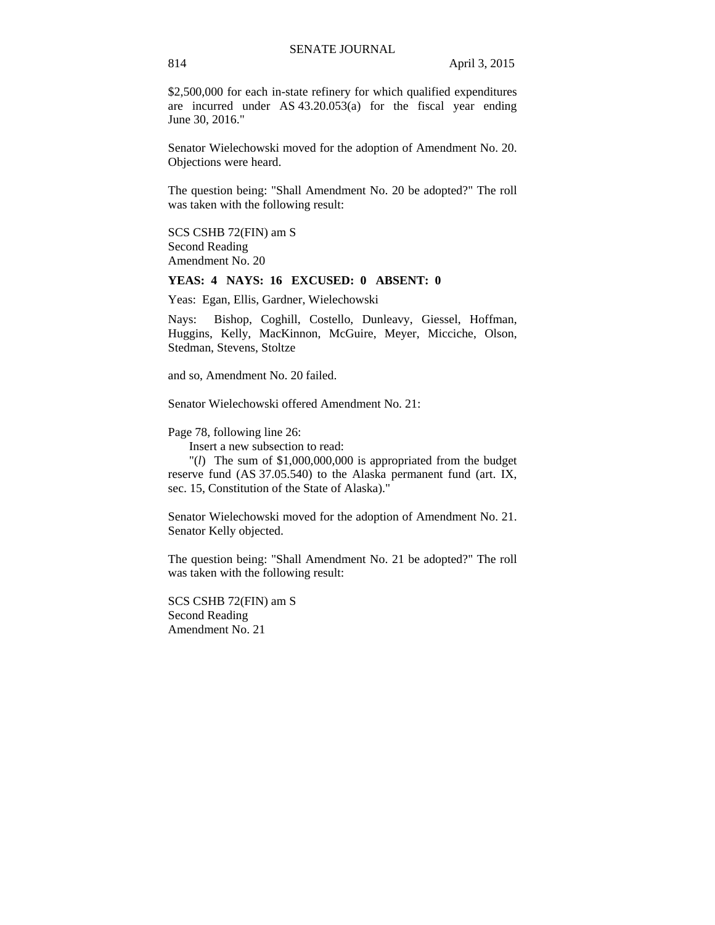\$2,500,000 for each in-state refinery for which qualified expenditures are incurred under AS 43.20.053(a) for the fiscal year ending June 30, 2016."

Senator Wielechowski moved for the adoption of Amendment No. 20. Objections were heard.

The question being: "Shall Amendment No. 20 be adopted?" The roll was taken with the following result:

SCS CSHB 72(FIN) am S Second Reading Amendment No. 20

#### **YEAS: 4 NAYS: 16 EXCUSED: 0 ABSENT: 0**

Yeas: Egan, Ellis, Gardner, Wielechowski

Nays: Bishop, Coghill, Costello, Dunleavy, Giessel, Hoffman, Huggins, Kelly, MacKinnon, McGuire, Meyer, Micciche, Olson, Stedman, Stevens, Stoltze

and so, Amendment No. 20 failed.

Senator Wielechowski offered Amendment No. 21:

Page 78, following line 26:

Insert a new subsection to read:

"(*l*) The sum of \$1,000,000,000 is appropriated from the budget reserve fund (AS 37.05.540) to the Alaska permanent fund (art. IX, sec. 15, Constitution of the State of Alaska)."

Senator Wielechowski moved for the adoption of Amendment No. 21. Senator Kelly objected.

The question being: "Shall Amendment No. 21 be adopted?" The roll was taken with the following result:

SCS CSHB 72(FIN) am S Second Reading Amendment No. 21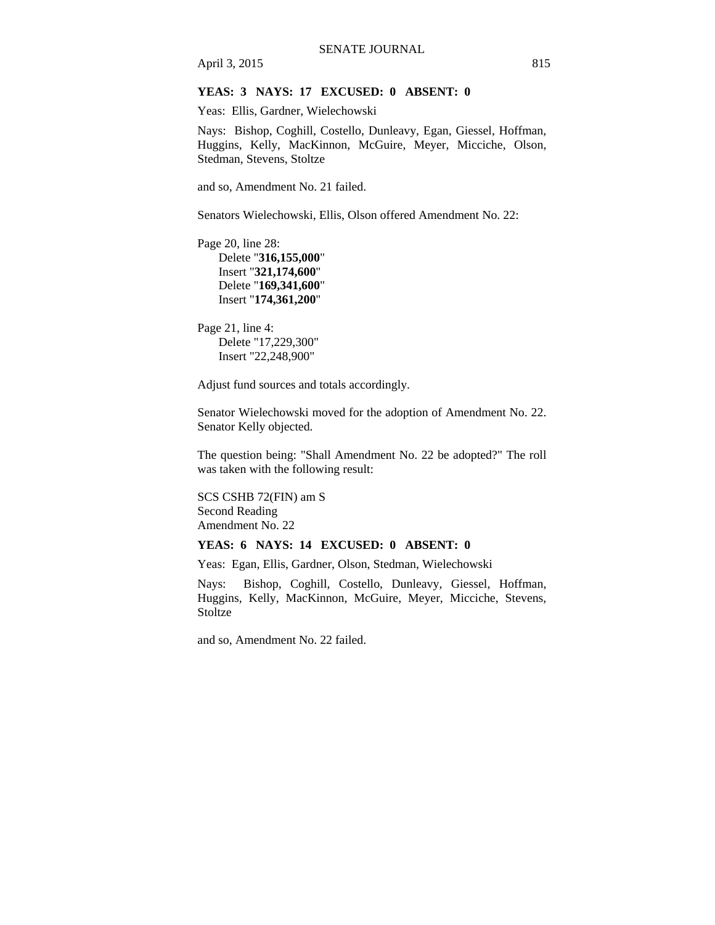## **YEAS: 3 NAYS: 17 EXCUSED: 0 ABSENT: 0**

Yeas: Ellis, Gardner, Wielechowski

Nays: Bishop, Coghill, Costello, Dunleavy, Egan, Giessel, Hoffman, Huggins, Kelly, MacKinnon, McGuire, Meyer, Micciche, Olson, Stedman, Stevens, Stoltze

and so, Amendment No. 21 failed.

Senators Wielechowski, Ellis, Olson offered Amendment No. 22:

Page 20, line 28: Delete "**316,155,000**" Insert "**321,174,600**" Delete "**169,341,600**" Insert "**174,361,200**"

Page 21, line 4: Delete "17,229,300" Insert "22,248,900"

Adjust fund sources and totals accordingly.

Senator Wielechowski moved for the adoption of Amendment No. 22. Senator Kelly objected.

The question being: "Shall Amendment No. 22 be adopted?" The roll was taken with the following result:

SCS CSHB 72(FIN) am S Second Reading Amendment No. 22

#### **YEAS: 6 NAYS: 14 EXCUSED: 0 ABSENT: 0**

Yeas: Egan, Ellis, Gardner, Olson, Stedman, Wielechowski

Nays: Bishop, Coghill, Costello, Dunleavy, Giessel, Hoffman, Huggins, Kelly, MacKinnon, McGuire, Meyer, Micciche, Stevens, **Stoltze** 

and so, Amendment No. 22 failed.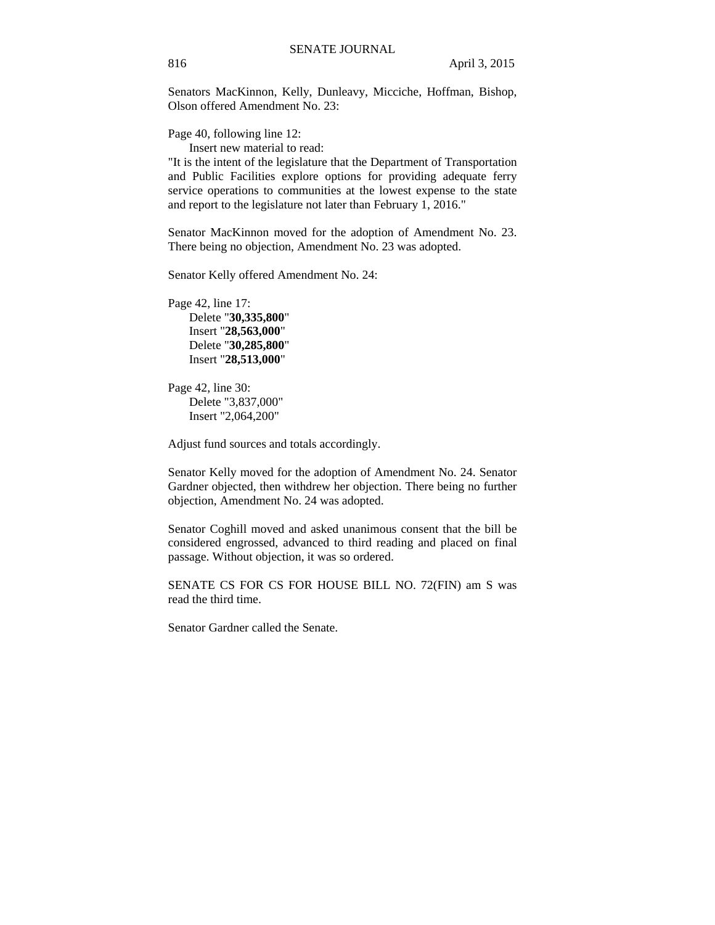Senators MacKinnon, Kelly, Dunleavy, Micciche, Hoffman, Bishop, Olson offered Amendment No. 23:

Page 40, following line 12:

Insert new material to read:

"It is the intent of the legislature that the Department of Transportation and Public Facilities explore options for providing adequate ferry service operations to communities at the lowest expense to the state and report to the legislature not later than February 1, 2016."

Senator MacKinnon moved for the adoption of Amendment No. 23. There being no objection, Amendment No. 23 was adopted.

Senator Kelly offered Amendment No. 24:

Page 42, line 17: Delete "**30,335,800**" Insert "**28,563,000**" Delete "**30,285,800**" Insert "**28,513,000**"

Page 42, line 30: Delete "3,837,000" Insert "2,064,200"

Adjust fund sources and totals accordingly.

Senator Kelly moved for the adoption of Amendment No. 24. Senator Gardner objected, then withdrew her objection. There being no further objection, Amendment No. 24 was adopted.

Senator Coghill moved and asked unanimous consent that the bill be considered engrossed, advanced to third reading and placed on final passage. Without objection, it was so ordered.

SENATE CS FOR CS FOR HOUSE BILL NO. 72(FIN) am S was read the third time.

Senator Gardner called the Senate.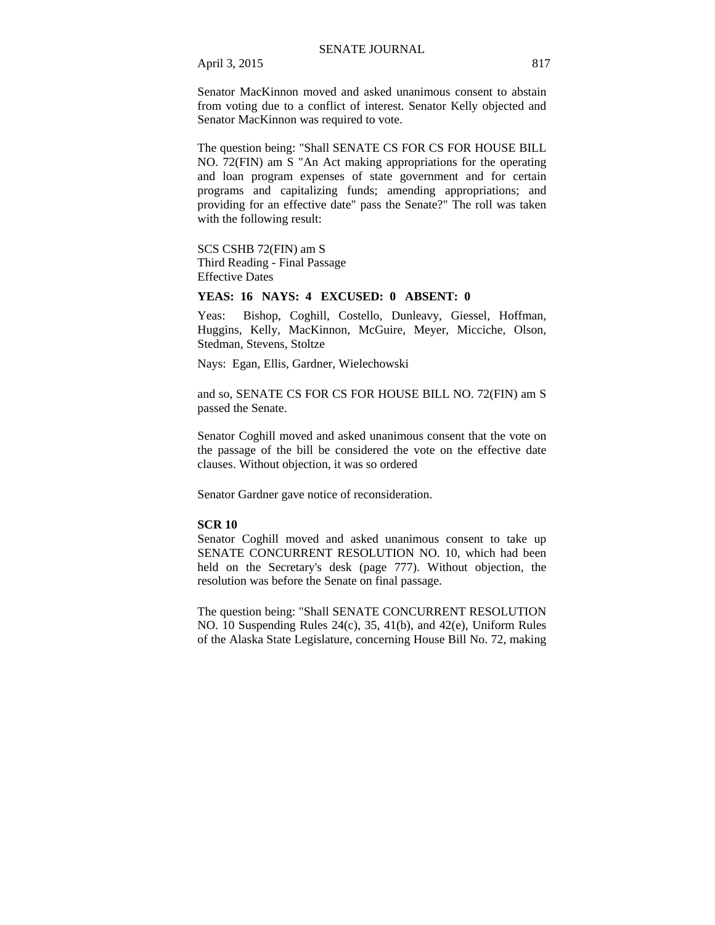Senator MacKinnon moved and asked unanimous consent to abstain from voting due to a conflict of interest. Senator Kelly objected and Senator MacKinnon was required to vote.

The question being: "Shall SENATE CS FOR CS FOR HOUSE BILL NO. 72(FIN) am S "An Act making appropriations for the operating and loan program expenses of state government and for certain programs and capitalizing funds; amending appropriations; and providing for an effective date" pass the Senate?" The roll was taken with the following result:

# SCS CSHB 72(FIN) am S

Third Reading - Final Passage Effective Dates

## **YEAS: 16 NAYS: 4 EXCUSED: 0 ABSENT: 0**

Yeas: Bishop, Coghill, Costello, Dunleavy, Giessel, Hoffman, Huggins, Kelly, MacKinnon, McGuire, Meyer, Micciche, Olson, Stedman, Stevens, Stoltze

Nays: Egan, Ellis, Gardner, Wielechowski

and so, SENATE CS FOR CS FOR HOUSE BILL NO. 72(FIN) am S passed the Senate.

Senator Coghill moved and asked unanimous consent that the vote on the passage of the bill be considered the vote on the effective date clauses. Without objection, it was so ordered

Senator Gardner gave notice of reconsideration.

#### **SCR 10**

Senator Coghill moved and asked unanimous consent to take up SENATE CONCURRENT RESOLUTION NO. 10, which had been held on the Secretary's desk (page 777). Without objection, the resolution was before the Senate on final passage.

The question being: "Shall SENATE CONCURRENT RESOLUTION NO. 10 Suspending Rules 24(c), 35, 41(b), and 42(e), Uniform Rules of the Alaska State Legislature, concerning House Bill No. 72, making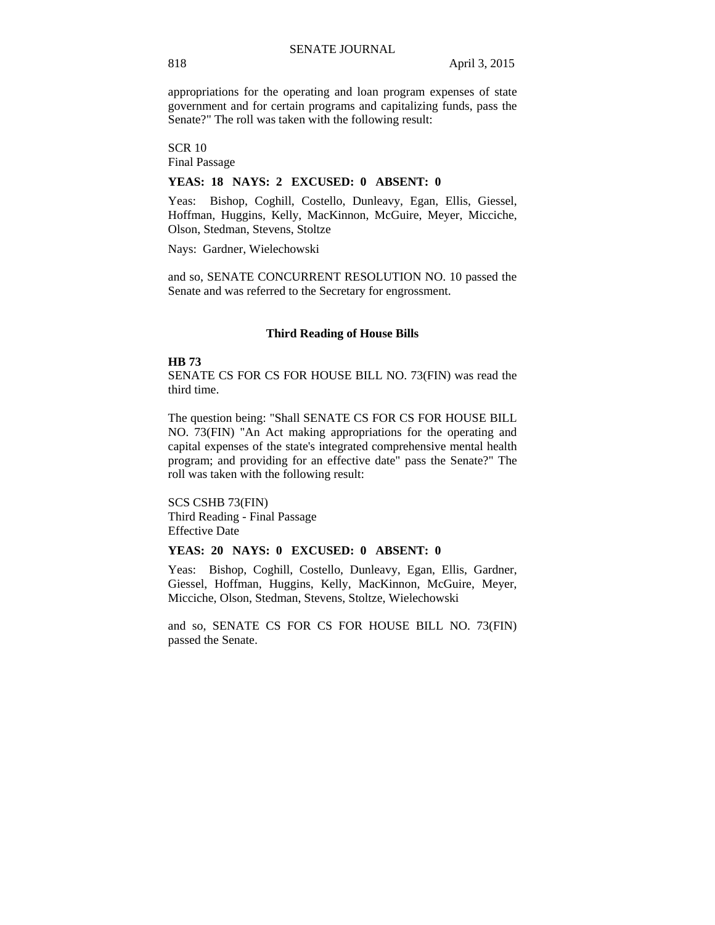appropriations for the operating and loan program expenses of state government and for certain programs and capitalizing funds, pass the Senate?" The roll was taken with the following result:

SCR 10 Final Passage

#### **YEAS: 18 NAYS: 2 EXCUSED: 0 ABSENT: 0**

Yeas: Bishop, Coghill, Costello, Dunleavy, Egan, Ellis, Giessel, Hoffman, Huggins, Kelly, MacKinnon, McGuire, Meyer, Micciche, Olson, Stedman, Stevens, Stoltze

Nays: Gardner, Wielechowski

and so, SENATE CONCURRENT RESOLUTION NO. 10 passed the Senate and was referred to the Secretary for engrossment.

#### **Third Reading of House Bills**

#### **HB 73**

SENATE CS FOR CS FOR HOUSE BILL NO. 73(FIN) was read the third time.

The question being: "Shall SENATE CS FOR CS FOR HOUSE BILL NO. 73(FIN) "An Act making appropriations for the operating and capital expenses of the state's integrated comprehensive mental health program; and providing for an effective date" pass the Senate?" The roll was taken with the following result:

SCS CSHB 73(FIN) Third Reading - Final Passage Effective Date

### **YEAS: 20 NAYS: 0 EXCUSED: 0 ABSENT: 0**

Yeas: Bishop, Coghill, Costello, Dunleavy, Egan, Ellis, Gardner, Giessel, Hoffman, Huggins, Kelly, MacKinnon, McGuire, Meyer, Micciche, Olson, Stedman, Stevens, Stoltze, Wielechowski

and so, SENATE CS FOR CS FOR HOUSE BILL NO. 73(FIN) passed the Senate.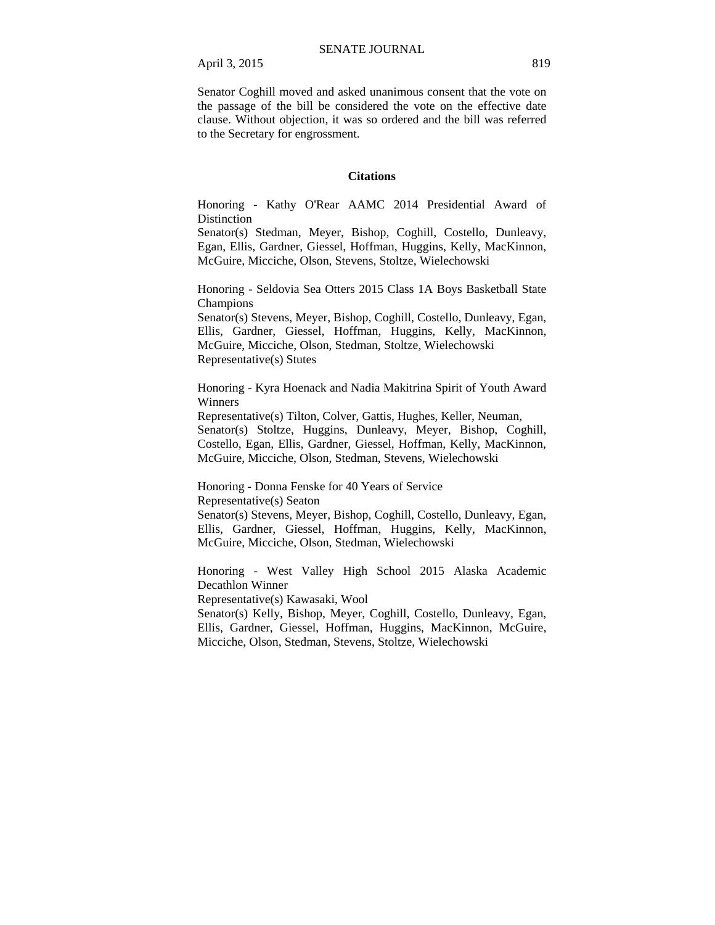Senator Coghill moved and asked unanimous consent that the vote on the passage of the bill be considered the vote on the effective date clause. Without objection, it was so ordered and the bill was referred to the Secretary for engrossment.

#### **Citations**

Honoring - Kathy O'Rear AAMC 2014 Presidential Award of **Distinction** 

Senator(s) Stedman, Meyer, Bishop, Coghill, Costello, Dunleavy, Egan, Ellis, Gardner, Giessel, Hoffman, Huggins, Kelly, MacKinnon, McGuire, Micciche, Olson, Stevens, Stoltze, Wielechowski

Honoring - Seldovia Sea Otters 2015 Class 1A Boys Basketball State Champions

Senator(s) Stevens, Meyer, Bishop, Coghill, Costello, Dunleavy, Egan, Ellis, Gardner, Giessel, Hoffman, Huggins, Kelly, MacKinnon, McGuire, Micciche, Olson, Stedman, Stoltze, Wielechowski Representative(s) Stutes

Honoring - Kyra Hoenack and Nadia Makitrina Spirit of Youth Award Winners

Representative(s) Tilton, Colver, Gattis, Hughes, Keller, Neuman, Senator(s) Stoltze, Huggins, Dunleavy, Meyer, Bishop, Coghill, Costello, Egan, Ellis, Gardner, Giessel, Hoffman, Kelly, MacKinnon, McGuire, Micciche, Olson, Stedman, Stevens, Wielechowski

Honoring - Donna Fenske for 40 Years of Service Representative(s) Seaton

Senator(s) Stevens, Meyer, Bishop, Coghill, Costello, Dunleavy, Egan, Ellis, Gardner, Giessel, Hoffman, Huggins, Kelly, MacKinnon, McGuire, Micciche, Olson, Stedman, Wielechowski

Honoring - West Valley High School 2015 Alaska Academic Decathlon Winner

Representative(s) Kawasaki, Wool

Senator(s) Kelly, Bishop, Meyer, Coghill, Costello, Dunleavy, Egan, Ellis, Gardner, Giessel, Hoffman, Huggins, MacKinnon, McGuire, Micciche, Olson, Stedman, Stevens, Stoltze, Wielechowski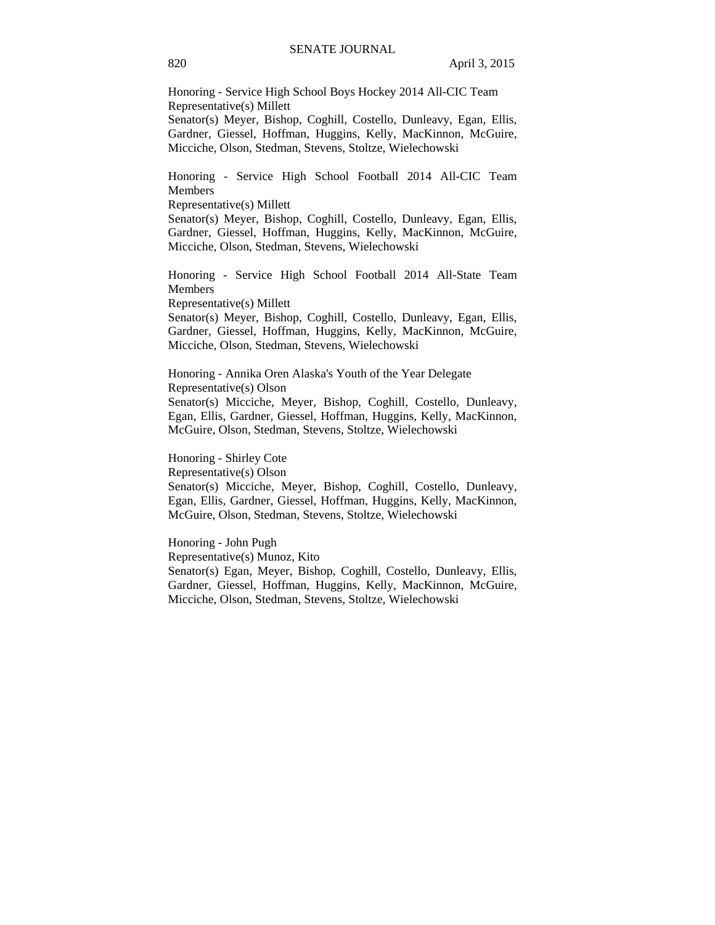Honoring - Service High School Boys Hockey 2014 All-CIC Team Representative(s) Millett Senator(s) Meyer, Bishop, Coghill, Costello, Dunleavy, Egan, Ellis, Gardner, Giessel, Hoffman, Huggins, Kelly, MacKinnon, McGuire, Micciche, Olson, Stedman, Stevens, Stoltze, Wielechowski

Honoring - Service High School Football 2014 All-CIC Team Members

Representative(s) Millett

Senator(s) Meyer, Bishop, Coghill, Costello, Dunleavy, Egan, Ellis, Gardner, Giessel, Hoffman, Huggins, Kelly, MacKinnon, McGuire, Micciche, Olson, Stedman, Stevens, Wielechowski

Honoring - Service High School Football 2014 All-State Team Members

Representative(s) Millett

Senator(s) Meyer, Bishop, Coghill, Costello, Dunleavy, Egan, Ellis, Gardner, Giessel, Hoffman, Huggins, Kelly, MacKinnon, McGuire, Micciche, Olson, Stedman, Stevens, Wielechowski

Honoring - Annika Oren Alaska's Youth of the Year Delegate Representative(s) Olson Senator(s) Micciche, Meyer, Bishop, Coghill, Costello, Dunleavy, Egan, Ellis, Gardner, Giessel, Hoffman, Huggins, Kelly, MacKinnon, McGuire, Olson, Stedman, Stevens, Stoltze, Wielechowski

Honoring - Shirley Cote Representative(s) Olson Senator(s) Micciche, Meyer, Bishop, Coghill, Costello, Dunleavy, Egan, Ellis, Gardner, Giessel, Hoffman, Huggins, Kelly, MacKinnon, McGuire, Olson, Stedman, Stevens, Stoltze, Wielechowski

Honoring - John Pugh Representative(s) Munoz, Kito Senator(s) Egan, Meyer, Bishop, Coghill, Costello, Dunleavy, Ellis, Gardner, Giessel, Hoffman, Huggins, Kelly, MacKinnon, McGuire, Micciche, Olson, Stedman, Stevens, Stoltze, Wielechowski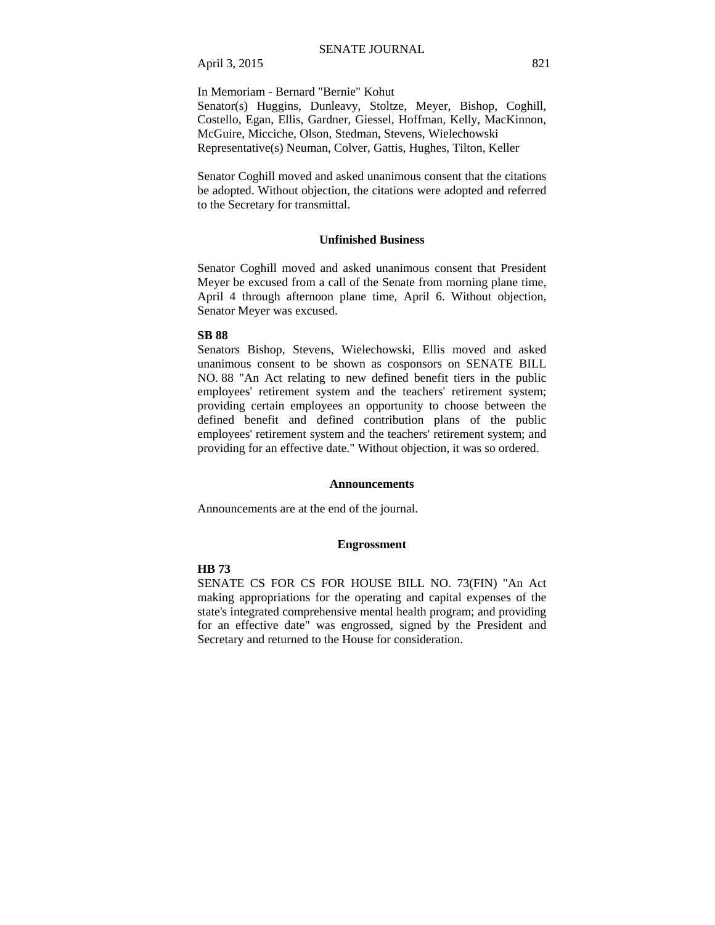In Memoriam - Bernard "Bernie" Kohut

Senator(s) Huggins, Dunleavy, Stoltze, Meyer, Bishop, Coghill, Costello, Egan, Ellis, Gardner, Giessel, Hoffman, Kelly, MacKinnon, McGuire, Micciche, Olson, Stedman, Stevens, Wielechowski Representative(s) Neuman, Colver, Gattis, Hughes, Tilton, Keller

Senator Coghill moved and asked unanimous consent that the citations be adopted. Without objection, the citations were adopted and referred to the Secretary for transmittal.

## **Unfinished Business**

Senator Coghill moved and asked unanimous consent that President Meyer be excused from a call of the Senate from morning plane time, April 4 through afternoon plane time, April 6. Without objection, Senator Meyer was excused.

#### **SB 88**

Senators Bishop, Stevens, Wielechowski, Ellis moved and asked unanimous consent to be shown as cosponsors on SENATE BILL NO. 88 "An Act relating to new defined benefit tiers in the public employees' retirement system and the teachers' retirement system; providing certain employees an opportunity to choose between the defined benefit and defined contribution plans of the public employees' retirement system and the teachers' retirement system; and providing for an effective date." Without objection, it was so ordered.

#### **Announcements**

Announcements are at the end of the journal.

#### **Engrossment**

## **HB 73**

SENATE CS FOR CS FOR HOUSE BILL NO. 73(FIN) "An Act making appropriations for the operating and capital expenses of the state's integrated comprehensive mental health program; and providing for an effective date" was engrossed, signed by the President and Secretary and returned to the House for consideration.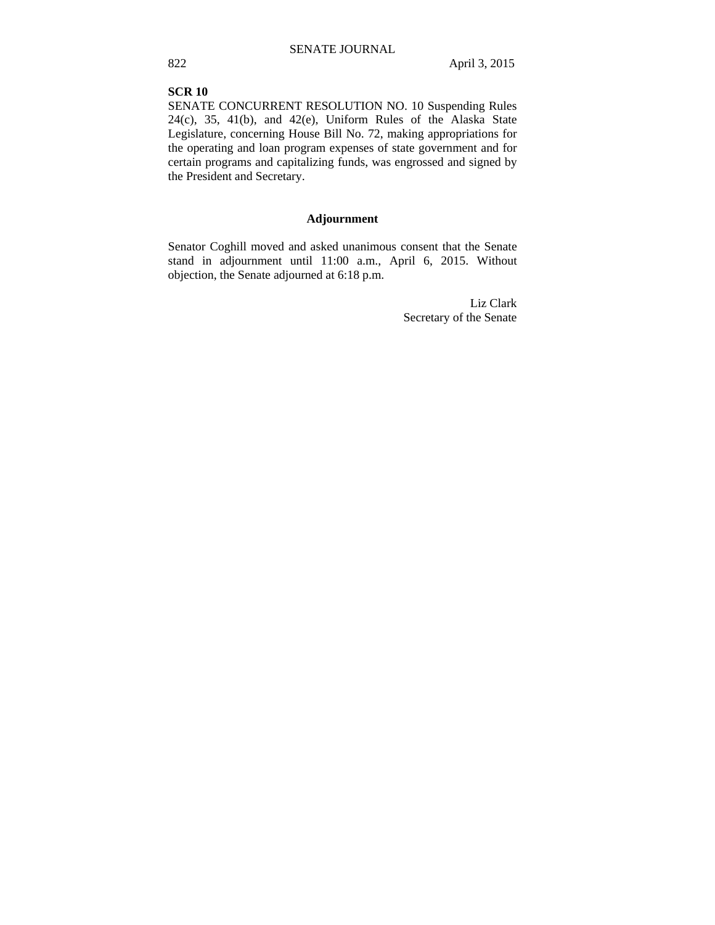# **SCR 10**

SENATE CONCURRENT RESOLUTION NO. 10 Suspending Rules 24(c), 35, 41(b), and 42(e), Uniform Rules of the Alaska State Legislature, concerning House Bill No. 72, making appropriations for the operating and loan program expenses of state government and for certain programs and capitalizing funds, was engrossed and signed by the President and Secretary.

# **Adjournment**

Senator Coghill moved and asked unanimous consent that the Senate stand in adjournment until 11:00 a.m., April 6, 2015. Without objection, the Senate adjourned at 6:18 p.m.

> Liz Clark Secretary of the Senate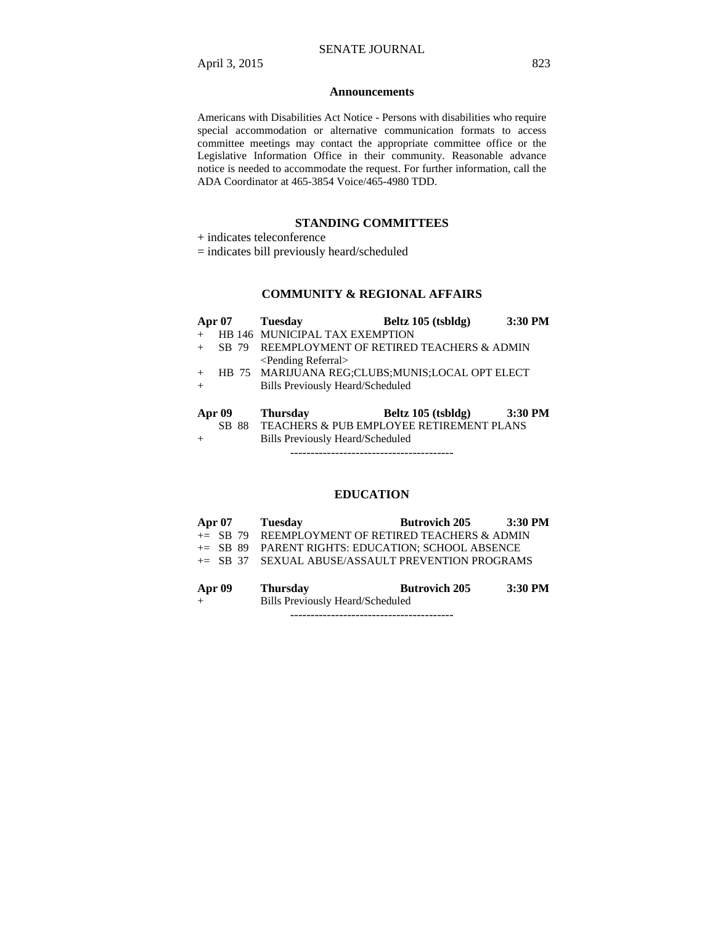#### **Announcements**

Americans with Disabilities Act Notice - Persons with disabilities who require special accommodation or alternative communication formats to access committee meetings may contact the appropriate committee office or the Legislative Information Office in their community. Reasonable advance notice is needed to accommodate the request. For further information, call the ADA Coordinator at 465-3854 Voice/465-4980 TDD.

# **STANDING COMMITTEES**

+ indicates teleconference

= indicates bill previously heard/scheduled

# **COMMUNITY & REGIONAL AFFAIRS**

|               | <b>Apr 07</b> | <b>Tuesday</b>                          | Beltz 105 (tsbldg)                              | 3:30 PM |
|---------------|---------------|-----------------------------------------|-------------------------------------------------|---------|
|               |               | HB 146 MUNICIPAL TAX EXEMPTION          |                                                 |         |
|               |               |                                         | SB 79 REEMPLOYMENT OF RETIRED TEACHERS & ADMIN  |         |
|               |               | <pending referral=""></pending>         |                                                 |         |
| $+$           |               |                                         | HB 75 MARIJUANA REG;CLUBS;MUNIS;LOCAL OPT ELECT |         |
| $+$           |               | <b>Bills Previously Heard/Scheduled</b> |                                                 |         |
|               |               |                                         |                                                 |         |
| <b>Apr 09</b> |               | <b>Thursday</b>                         | Beltz 105 (tsbldg)                              | 3:30 PM |
|               | SB.           |                                         | 88 TEACHERS & PUB EMPLOYEE RETIREMENT PLANS     |         |
| $^{+}$        |               | <b>Bills Previously Heard/Scheduled</b> |                                                 |         |

----------------------------------------

# **EDUCATION**

|                            | Apr 07 Tuesday                                       | Butrovich 205 3:30 PM                                                                         |                           |
|----------------------------|------------------------------------------------------|-----------------------------------------------------------------------------------------------|---------------------------|
|                            | $+=$ SB 79 REEMPLOYMENT OF RETIRED TEACHERS & ADMIN  |                                                                                               |                           |
|                            | $\pm$ SB 89 PARENT RIGHTS: EDUCATION: SCHOOL ABSENCE |                                                                                               |                           |
|                            | += SB 37 SEXUAL ABUSE/ASSAULT PREVENTION PROGRAMS    |                                                                                               |                           |
| $\lambda = \lambda \Omega$ | Theresaler                                           | $\mathbf{D}_{\text{ref}}$ . $\mathbf{D}_{\text{ref}}$ is the set of $\mathbf{D}_{\text{ref}}$ | $2.20 \text{ } \text{DM}$ |

| Apr 09 | 1 nursday                               | Butrovich 205 | 3:30 P.M |
|--------|-----------------------------------------|---------------|----------|
| ᅩ      | <b>Bills Previously Heard/Scheduled</b> |               |          |

----------------------------------------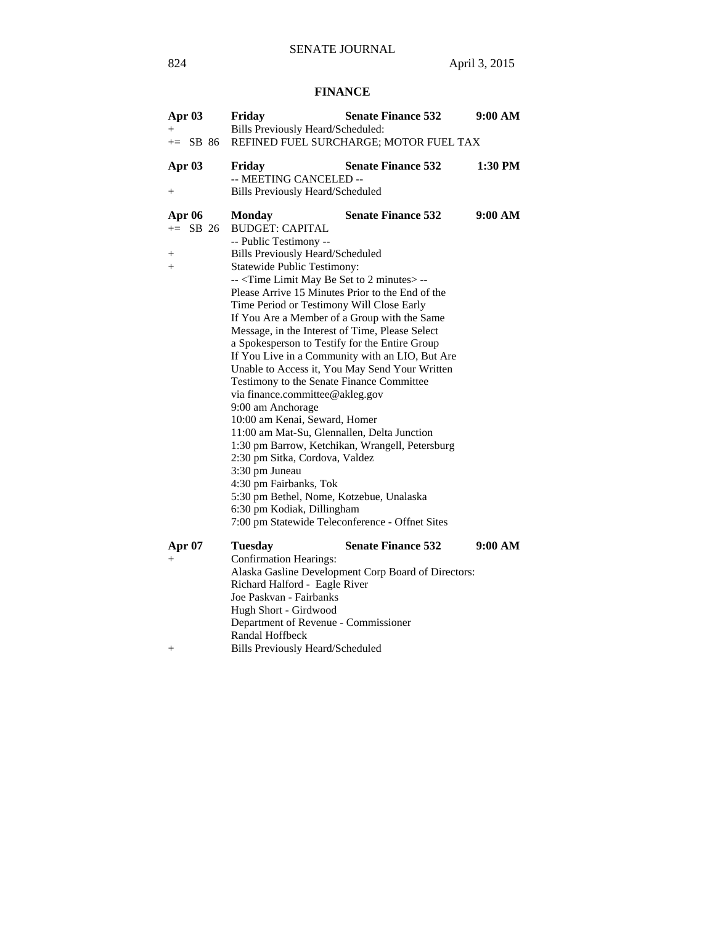# **FINANCE**

| Apr 03<br>Bills Previously Heard/Scheduled:<br>$^{+}$<br>REFINED FUEL SURCHARGE; MOTOR FUEL TAX<br>$\pm$ SB 86<br>1:30 PM<br>Apr 03<br>Friday<br><b>Senate Finance 532</b><br>-- MEETING CANCELED --<br>Bills Previously Heard/Scheduled<br>$+$<br>9:00 AM<br><b>Senate Finance 532</b><br><b>Apr 06</b><br><b>Monday</b><br>$+=$ SB 26<br><b>BUDGET: CAPITAL</b><br>-- Public Testimony --<br><b>Bills Previously Heard/Scheduled</b><br>$^+$ |
|------------------------------------------------------------------------------------------------------------------------------------------------------------------------------------------------------------------------------------------------------------------------------------------------------------------------------------------------------------------------------------------------------------------------------------------------|
|                                                                                                                                                                                                                                                                                                                                                                                                                                                |
|                                                                                                                                                                                                                                                                                                                                                                                                                                                |
|                                                                                                                                                                                                                                                                                                                                                                                                                                                |
|                                                                                                                                                                                                                                                                                                                                                                                                                                                |
|                                                                                                                                                                                                                                                                                                                                                                                                                                                |
|                                                                                                                                                                                                                                                                                                                                                                                                                                                |
|                                                                                                                                                                                                                                                                                                                                                                                                                                                |
|                                                                                                                                                                                                                                                                                                                                                                                                                                                |
|                                                                                                                                                                                                                                                                                                                                                                                                                                                |
| <b>Statewide Public Testimony:</b><br>$+$                                                                                                                                                                                                                                                                                                                                                                                                      |
| -- <time 2="" be="" limit="" may="" minutes="" set="" to=""> --</time>                                                                                                                                                                                                                                                                                                                                                                         |
| Please Arrive 15 Minutes Prior to the End of the                                                                                                                                                                                                                                                                                                                                                                                               |
| Time Period or Testimony Will Close Early                                                                                                                                                                                                                                                                                                                                                                                                      |
| If You Are a Member of a Group with the Same                                                                                                                                                                                                                                                                                                                                                                                                   |
| Message, in the Interest of Time, Please Select                                                                                                                                                                                                                                                                                                                                                                                                |
| a Spokesperson to Testify for the Entire Group                                                                                                                                                                                                                                                                                                                                                                                                 |
| If You Live in a Community with an LIO, But Are                                                                                                                                                                                                                                                                                                                                                                                                |
| Unable to Access it, You May Send Your Written                                                                                                                                                                                                                                                                                                                                                                                                 |
| Testimony to the Senate Finance Committee                                                                                                                                                                                                                                                                                                                                                                                                      |
| via finance.committee@akleg.gov                                                                                                                                                                                                                                                                                                                                                                                                                |
| 9:00 am Anchorage                                                                                                                                                                                                                                                                                                                                                                                                                              |
| 10:00 am Kenai, Seward, Homer                                                                                                                                                                                                                                                                                                                                                                                                                  |
| 11:00 am Mat-Su, Glennallen, Delta Junction                                                                                                                                                                                                                                                                                                                                                                                                    |
| 1:30 pm Barrow, Ketchikan, Wrangell, Petersburg                                                                                                                                                                                                                                                                                                                                                                                                |
| 2:30 pm Sitka, Cordova, Valdez                                                                                                                                                                                                                                                                                                                                                                                                                 |
| 3:30 pm Juneau                                                                                                                                                                                                                                                                                                                                                                                                                                 |
| 4:30 pm Fairbanks, Tok                                                                                                                                                                                                                                                                                                                                                                                                                         |
| 5:30 pm Bethel, Nome, Kotzebue, Unalaska                                                                                                                                                                                                                                                                                                                                                                                                       |
| 6:30 pm Kodiak, Dillingham                                                                                                                                                                                                                                                                                                                                                                                                                     |
| 7:00 pm Statewide Teleconference - Offnet Sites                                                                                                                                                                                                                                                                                                                                                                                                |
| <b>Senate Finance 532</b><br>Apr 07<br>9:00 AM<br><b>Tuesday</b>                                                                                                                                                                                                                                                                                                                                                                               |
| <b>Confirmation Hearings:</b><br>$^{+}$                                                                                                                                                                                                                                                                                                                                                                                                        |
| Alaska Gasline Development Corp Board of Directors:                                                                                                                                                                                                                                                                                                                                                                                            |
| Richard Halford - Eagle River                                                                                                                                                                                                                                                                                                                                                                                                                  |
| Joe Paskvan - Fairbanks                                                                                                                                                                                                                                                                                                                                                                                                                        |
| Hugh Short - Girdwood                                                                                                                                                                                                                                                                                                                                                                                                                          |
| Department of Revenue - Commissioner                                                                                                                                                                                                                                                                                                                                                                                                           |
| Randal Hoffbeck                                                                                                                                                                                                                                                                                                                                                                                                                                |
| <b>Bills Previously Heard/Scheduled</b><br>$^+$                                                                                                                                                                                                                                                                                                                                                                                                |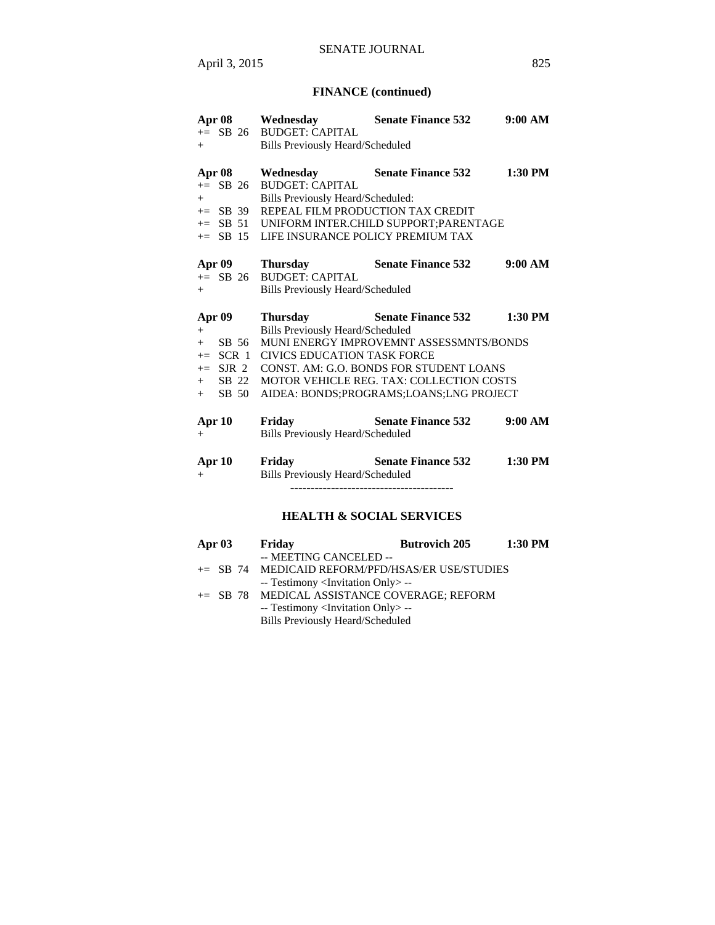# **FINANCE (continued)**

|                           | Apr 08 Wednesday                        | <b>Senate Finance 532</b>                                                                  | 9:00 AM |
|---------------------------|-----------------------------------------|--------------------------------------------------------------------------------------------|---------|
|                           | += SB 26 BUDGET: CAPITAL                |                                                                                            |         |
| $+$                       | <b>Bills Previously Heard/Scheduled</b> |                                                                                            |         |
| Apr 08                    | Wednesday                               | <b>Senate Finance 532</b>                                                                  | 1:30 PM |
| $+=$ SB 26                | <b>BUDGET: CAPITAL</b>                  |                                                                                            |         |
| $+$                       | Bills Previously Heard/Scheduled:       |                                                                                            |         |
| $+=$ SB 39                | REPEAL FILM PRODUCTION TAX CREDIT       |                                                                                            |         |
| $+=$ SB 51                |                                         | UNIFORM INTER.CHILD SUPPORT: PARENTAGE                                                     |         |
| $+=$ SB 15                | LIFE INSURANCE POLICY PREMIUM TAX       |                                                                                            |         |
| Apr 09                    | <b>Thursday</b>                         | <b>Senate Finance 532</b>                                                                  | 9:00 AM |
| $+=$ SB 26                | <b>BUDGET: CAPITAL</b>                  |                                                                                            |         |
| $+$                       | <b>Bills Previously Heard/Scheduled</b> |                                                                                            |         |
|                           |                                         |                                                                                            |         |
|                           |                                         |                                                                                            |         |
| <b>Apr 09</b>             | <b>Thursday</b>                         | <b>Senate Finance 532</b>                                                                  | 1:30 PM |
| $+$                       | <b>Bills Previously Heard/Scheduled</b> |                                                                                            |         |
| SB 56<br>$+$              |                                         | MUNI ENERGY IMPROVEMNT ASSESSMNTS/BONDS                                                    |         |
| $+=$ SCR 1                | <b>CIVICS EDUCATION TASK FORCE</b>      |                                                                                            |         |
| $+=$ SJR 2                |                                         | CONST. AM: G.O. BONDS FOR STUDENT LOANS                                                    |         |
| SB 22<br>$+$<br>$+$ SB 50 |                                         | <b>MOTOR VEHICLE REG. TAX: COLLECTION COSTS</b><br>AIDEA: BONDS;PROGRAMS;LOANS;LNG PROJECT |         |
|                           |                                         |                                                                                            |         |
| Apr 10                    | Friday                                  | <b>Senate Finance 532</b>                                                                  | 9:00 AM |
| $^{+}$                    | Bills Previously Heard/Scheduled        |                                                                                            |         |
| Apr 10                    | Friday                                  | <b>Senate Finance 532</b>                                                                  | 1:30 PM |
| $+$                       | Bills Previously Heard/Scheduled        |                                                                                            |         |
|                           |                                         |                                                                                            |         |

# **HEALTH & SOCIAL SERVICES**

| Apr $03$ | Friday                                            | <b>Butrovich 205</b> | 1:30 PM |
|----------|---------------------------------------------------|----------------------|---------|
|          | -- MEETING CANCELED --                            |                      |         |
|          | += SB 74 MEDICAID REFORM/PFD/HSAS/ER USE/STUDIES  |                      |         |
|          | -- Testimony <invitation only=""> --</invitation> |                      |         |
|          | += SB 78 MEDICAL ASSISTANCE COVERAGE; REFORM      |                      |         |
|          | -- Testimony <invitation only=""> --</invitation> |                      |         |
|          | <b>Bills Previously Heard/Scheduled</b>           |                      |         |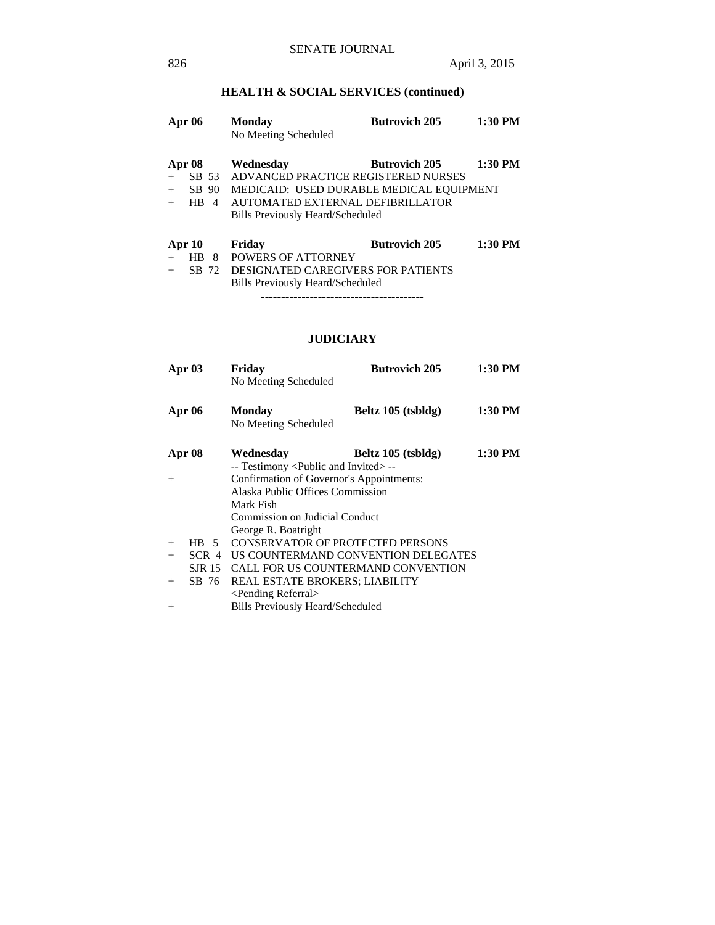# **HEALTH & SOCIAL SERVICES (continued)**

| <b>Apr 06</b>               |                                  | <b>Monday</b><br>No Meeting Scheduled                                                                                                                                       | <b>Butrovich 205</b> | 1:30 PM   |
|-----------------------------|----------------------------------|-----------------------------------------------------------------------------------------------------------------------------------------------------------------------------|----------------------|-----------|
| Apr 08<br>$+$<br>$+$<br>$+$ | SB 53<br>SB 90<br><b>HB</b><br>4 | Wednesdav<br>ADVANCED PRACTICE REGISTERED NURSES<br>MEDICAID: USED DURABLE MEDICAL EQUIPMENT<br>AUTOMATED EXTERNAL DEFIBRILLATOR<br><b>Bills Previously Heard/Scheduled</b> | <b>Butrovich 205</b> | 1:30 PM   |
| Apr 10                      | HB<br>8<br>72<br>SB.             | Friday<br>POWERS OF ATTORNEY<br><b>DESIGNATED CAREGIVERS FOR PATIENTS</b>                                                                                                   | <b>Butrovich 205</b> | $1:30$ PM |

 Bills Previously Heard/Scheduled ----------------------------------------

# **JUDICIARY**

|        | Apr <sub>03</sub> | Friday                                              | <b>Butrovich 205</b>                | 1:30 PM |
|--------|-------------------|-----------------------------------------------------|-------------------------------------|---------|
|        |                   | No Meeting Scheduled                                |                                     |         |
|        |                   |                                                     |                                     |         |
|        | <b>Apr 06</b>     | <b>Monday</b>                                       | Beltz 105 (tsbldg)                  | 1:30 PM |
|        |                   | No Meeting Scheduled                                |                                     |         |
|        | Apr 08            | Wednesday                                           | Beltz 105 (tsbldg)                  | 1:30 PM |
|        |                   | -- Testimony <public and="" invited=""> --</public> |                                     |         |
| $^{+}$ |                   | Confirmation of Governor's Appointments:            |                                     |         |
|        |                   | Alaska Public Offices Commission                    |                                     |         |
|        |                   | Mark Fish                                           |                                     |         |
|        |                   | <b>Commission on Judicial Conduct</b>               |                                     |         |
|        |                   | George R. Boatright                                 |                                     |         |
| $+$    | $HB \quad 5$      | <b>CONSERVATOR OF PROTECTED PERSONS</b>             |                                     |         |
| $+$    | SCR 4             |                                                     | US COUNTERMAND CONVENTION DELEGATES |         |
|        | SJR 15            | CALL FOR US COUNTERMAND CONVENTION                  |                                     |         |
| $^{+}$ | SB 76             | REAL ESTATE BROKERS; LIABILITY                      |                                     |         |
|        |                   | <pending referral=""></pending>                     |                                     |         |
| $+$    |                   | <b>Bills Previously Heard/Scheduled</b>             |                                     |         |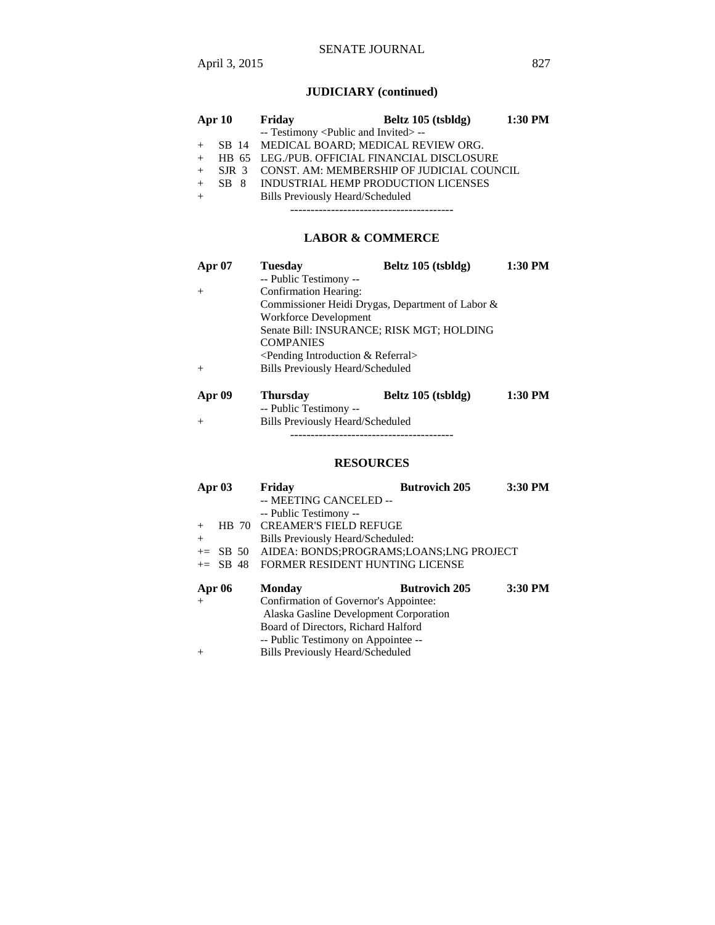# **JUDICIARY (continued)**

| Apr 10 |                  |  | Friday                                              | Beltz 105 (tsbldg)                            | 1:30 PM |
|--------|------------------|--|-----------------------------------------------------|-----------------------------------------------|---------|
|        |                  |  | -- Testimony <public and="" invited=""> --</public> |                                               |         |
|        |                  |  | SB 14 MEDICAL BOARD; MEDICAL REVIEW ORG.            |                                               |         |
| $+$    |                  |  |                                                     | HB 65 LEG./PUB. OFFICIAL FINANCIAL DISCLOSURE |         |
| $+$    | SIR <sub>3</sub> |  |                                                     | CONST. AM: MEMBERSHIP OF JUDICIAL COUNCIL     |         |
|        |                  |  | SB 8 INDUSTRIAL HEMP PRODUCTION LICENSES            |                                               |         |
| $+$    |                  |  | <b>Bills Previously Heard/Scheduled</b>             |                                               |         |
|        |                  |  |                                                     |                                               |         |

# **LABOR & COMMERCE**

| <b>Apr 07</b> | <b>Tuesday</b>                             | Beltz 105 (tsbldg)                               | 1:30 PM |
|---------------|--------------------------------------------|--------------------------------------------------|---------|
|               | -- Public Testimony --                     |                                                  |         |
|               | Confirmation Hearing:                      |                                                  |         |
|               |                                            | Commissioner Heidi Drygas, Department of Labor & |         |
|               | Workforce Development                      |                                                  |         |
|               |                                            | Senate Bill: INSURANCE; RISK MGT; HOLDING        |         |
|               | <b>COMPANIES</b>                           |                                                  |         |
|               | $\leq$ Pending Introduction & Referral $>$ |                                                  |         |
|               | <b>Bills Previously Heard/Scheduled</b>    |                                                  |         |
|               |                                            |                                                  |         |
|               |                                            |                                                  |         |

| Apr 09 | Thursday                         | Beltz 105 (tsbldg) | 1:30 PM |
|--------|----------------------------------|--------------------|---------|
|        | -- Public Testimony --           |                    |         |
| $^{+}$ | Bills Previously Heard/Scheduled |                    |         |

----------------------------------------

# **RESOURCES**

| Apr $03$                                       |             | Friday                                           | <b>Butrovich 205</b> | 3:30 PM |
|------------------------------------------------|-------------|--------------------------------------------------|----------------------|---------|
|                                                |             | -- MEETING CANCELED --                           |                      |         |
|                                                |             | -- Public Testimony --                           |                      |         |
|                                                |             | HB 70 CREAMER'S FIELD REFUGE                     |                      |         |
| $^{+}$                                         |             | Bills Previously Heard/Scheduled:                |                      |         |
|                                                |             | += SB 50 AIDEA: BONDS:PROGRAMS:LOANS:LNG PROJECT |                      |         |
|                                                | $\pm$ SB 48 | <b>FORMER RESIDENT HUNTING LICENSE</b>           |                      |         |
|                                                |             |                                                  |                      |         |
| <b>Apr 06</b>                                  |             | Monday                                           | <b>Butrovich 205</b> | 3:30 PM |
| $+$                                            |             | Confirmation of Governor's Appointee:            |                      |         |
|                                                |             | Alaska Gasline Development Corporation           |                      |         |
|                                                |             | Board of Directors, Richard Halford              |                      |         |
|                                                |             | -- Public Testimony on Appointee --              |                      |         |
| <b>Bills Previously Heard/Scheduled</b><br>$+$ |             |                                                  |                      |         |